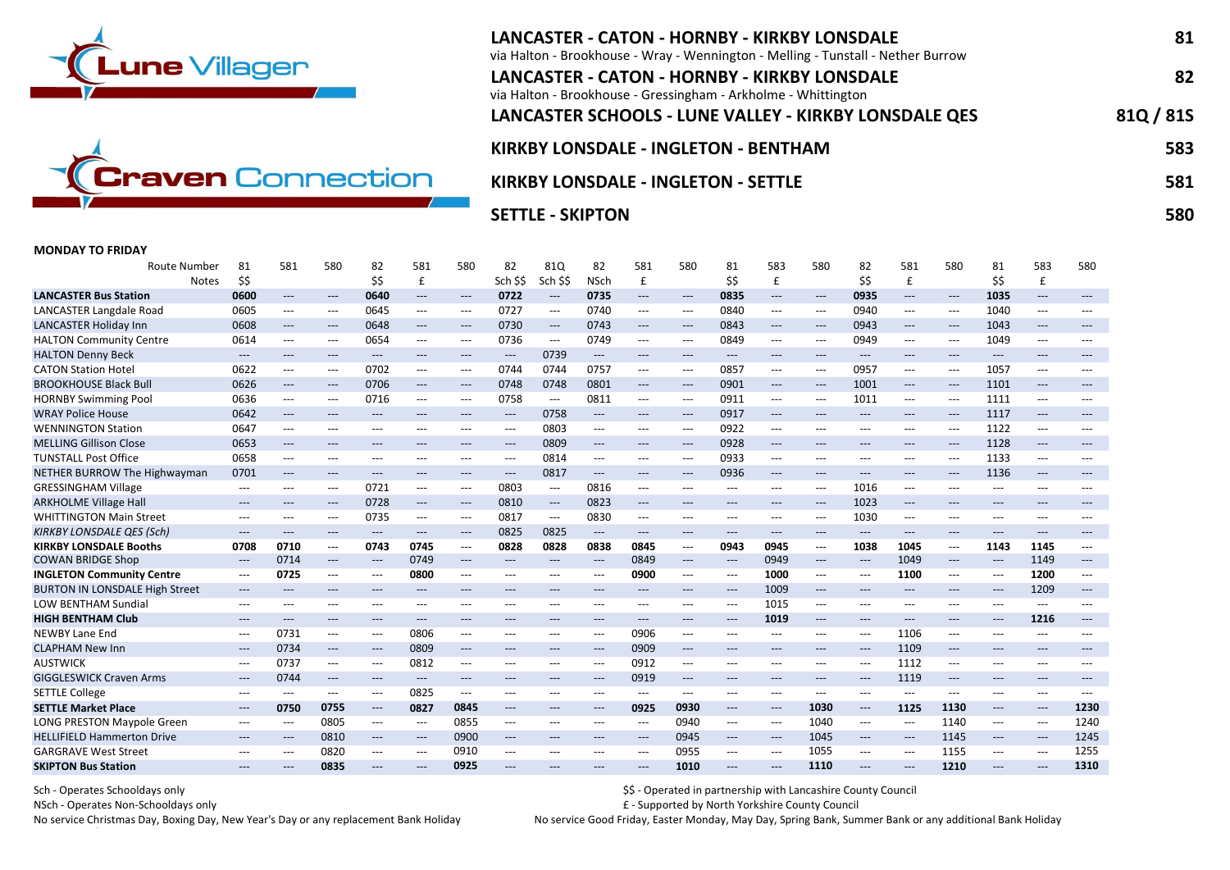



# LANCASTER - CATON - HORNBY - KIRKBY LONSDALE 81 via Halton - Brookhouse - Wray - Wennington - Melling - Tunstall - Nether Burrow LANCASTER - CATON - HORNBY - KIRKBY LONSDALE 82 via Halton - Brookhouse - Gressingham - Arkholme - Whittington LANCASTER SCHOOLS - LUNE VALLEY - KIRKBY LONSDALE QES 81Q / 81S KIRKBY LONSDALE - INGLETON - BENTHAM 583 KIRKBY LONSDALE - INGLETON - SETTLE **1998 - SETTLE SELL SETTLE** SS1

SETTLE - SKIPTON 580 POSTED FOR THE SETTLE - SKIPTON 580 POSTED FOR THE SETTLE - SKIPTON 580 POSTED FOR THE SE

### MONDAY TO FRIDAY

| Route Number                          | 81                                       | 581                                      | 580                                      | 82                                       | 581                                      | 580                 | 82                                       | 81Q                                      | 82                                       | 581                                      | 580                      | 81                                       | 583                                      | 580                                      | 82                                       | 581                               | 580                                      | 81                                       | 583                                      | 580                 |
|---------------------------------------|------------------------------------------|------------------------------------------|------------------------------------------|------------------------------------------|------------------------------------------|---------------------|------------------------------------------|------------------------------------------|------------------------------------------|------------------------------------------|--------------------------|------------------------------------------|------------------------------------------|------------------------------------------|------------------------------------------|-----------------------------------|------------------------------------------|------------------------------------------|------------------------------------------|---------------------|
| <b>Notes</b>                          | \$\$                                     |                                          |                                          | \$\$                                     | £                                        |                     | Sch \$\$                                 | Sch \$\$                                 | <b>NSch</b>                              | £                                        |                          | \$\$                                     | £                                        |                                          | \$\$                                     | £                                 |                                          | \$\$                                     | £                                        |                     |
| <b>LANCASTER Bus Station</b>          | 0600                                     | $\hspace{0.05cm} \ldots \hspace{0.05cm}$ | $\qquad \qquad - -$                      | 0640                                     | $---$                                    | $\qquad \qquad - -$ | 0722                                     | $---$                                    | 0735                                     | $\hspace{0.05cm} \ldots$                 | $\hspace{0.05cm} \ldots$ | 0835                                     | $\qquad \qquad - -$                      | $\hspace{0.05cm} \ldots$                 | 0935                                     | $---$                             | $\hspace{0.05cm} \ldots \hspace{0.05cm}$ | 1035                                     | $---$                                    |                     |
| <b>LANCASTER Langdale Road</b>        | 0605                                     | $\hspace{0.05cm} \ldots \hspace{0.05cm}$ | $---$                                    | 0645                                     | $---$                                    | $---$               | 0727                                     | ---                                      | 0740                                     | $\hspace{0.05cm} \ldots \hspace{0.05cm}$ | $---$                    | 0840                                     | $---$                                    | $\hspace{0.05cm} \ldots$                 | 0940                                     | $---$                             | $\hspace{0.05cm} \ldots$                 | 1040                                     | $\hspace{0.05cm} \ldots$                 |                     |
| <b>LANCASTER Holiday Inn</b>          | 0608                                     | $\hspace{0.05cm} \ldots \hspace{0.05cm}$ | $\hspace{0.05cm} \ldots \hspace{0.05cm}$ | 0648                                     | $\hspace{0.05cm} \ldots \hspace{0.05cm}$ | $---$               | 0730                                     | $\hspace{0.05cm} \dashrightarrow$        | 0743                                     | $\hspace{0.05cm} \dashrightarrow$        | ---                      | 0843                                     | $\hspace{0.05cm} \dashrightarrow$        | $\hspace{0.05cm} \dashrightarrow$        | 0943                                     | $\hspace{0.05cm} \dashrightarrow$ | $\hspace{0.05cm} \ldots \hspace{0.05cm}$ | 1043                                     | $\qquad \qquad \textbf{---}$             | $---$               |
| <b>HALTON Community Centre</b>        | 0614                                     | $---$                                    | $---$                                    | 0654                                     | ---                                      | $---$               | 0736                                     | ---                                      | 0749                                     | $---$                                    | $---$                    | 0849                                     | $---$                                    | $---$                                    | 0949                                     | $---$                             | ---                                      | 1049                                     | $---$                                    | ---                 |
| <b>HALTON Denny Beck</b>              | $---$                                    | ---                                      | $---$                                    | $---$                                    | ---                                      | $---$               | $---$                                    | 0739                                     | $---$                                    | $---$                                    | $---$                    | $---$                                    | $---$                                    | ---                                      | $---$                                    | ---                               | $---$                                    | $---$                                    | $\hspace{0.05cm} \ldots$                 | $---$               |
| <b>CATON Station Hotel</b>            | 0622                                     | $\hspace{0.05cm} \ldots \hspace{0.05cm}$ | $---$                                    | 0702                                     | $\hspace{0.05cm} \ldots \hspace{0.05cm}$ | ---                 | 0744                                     | 0744                                     | 0757                                     | $\hspace{0.05cm} \ldots \hspace{0.05cm}$ | ---                      | 0857                                     | $\hspace{0.05cm} \ldots \hspace{0.05cm}$ | $\hspace{0.05cm} \ldots \hspace{0.05cm}$ | 0957                                     | $\hspace{0.05cm} \ldots$          | ---                                      | 1057                                     | $\hspace{0.05cm} \ldots \hspace{0.05cm}$ | $---$               |
| <b>BROOKHOUSE Black Bull</b>          | 0626                                     | $\hspace{0.05cm} \ldots \hspace{0.05cm}$ | $\qquad \qquad - -$                      | 0706                                     | $\qquad \qquad - -$                      | $\qquad \qquad - -$ | 0748                                     | 0748                                     | 0801                                     | $\qquad \qquad - -$                      | $\qquad \qquad - -$      | 0901                                     | $\hspace{0.05cm} \ldots \hspace{0.05cm}$ | $\hspace{0.05cm} \ldots$                 | 1001                                     | $\qquad \qquad - -$               | $\hspace{0.05cm} \ldots \hspace{0.05cm}$ | 1101                                     | $\qquad \qquad - -$                      | $---$               |
| <b>HORNBY Swimming Pool</b>           | 0636                                     | ---                                      | ---                                      | 0716                                     | ---                                      | ---                 | 0758                                     | $---$                                    | 0811                                     | $\qquad \qquad - -$                      | $---$                    | 0911                                     | ---                                      | $\hspace{0.05cm} \ldots \hspace{0.05cm}$ | 1011                                     | $---$                             | ---                                      | 1111                                     | $\hspace{0.05cm} \ldots \hspace{0.05cm}$ | $---$               |
| <b>WRAY Police House</b>              | 0642                                     | $---$                                    | $---$                                    | $---$                                    | ---                                      | $---$               | $\qquad \qquad - -$                      | 0758                                     | $\hspace{0.05cm} \ldots \hspace{0.05cm}$ | $\qquad \qquad \textbf{---}$             | $\qquad \qquad - -$      | 0917                                     | $\qquad \qquad - -$                      | $\hspace{0.05cm} \dashrightarrow$        | $---$                                    | $---$                             | $---$                                    | 1117                                     | $\qquad \qquad \textbf{---}$             | ---                 |
| <b>WENNINGTON Station</b>             | 0647                                     | $\hspace{0.05cm} \ldots \hspace{0.05cm}$ | $---$                                    | $---$                                    | $---$                                    | $---$               | $\hspace{0.05cm} \ldots$                 | 0803                                     | $\hspace{0.05cm} \ldots \hspace{0.05cm}$ | $---$                                    | $---$                    | 0922                                     | $\hspace{0.05cm} \ldots \hspace{0.05cm}$ | $---$                                    | $---$                                    | $---$                             | $\hspace{0.05cm} \ldots$                 | 1122                                     | $\hspace{0.05cm} \ldots \hspace{0.05cm}$ | $---$               |
| <b>MELLING Gillison Close</b>         | 0653                                     | $---$                                    | $---$                                    | $---$                                    | ---                                      | $---$               | $---$                                    | 0809                                     | $---$                                    | $\qquad \qquad - -$                      | $---$                    | 0928                                     | $\qquad \qquad - -$                      | ---                                      | $---$                                    | $---$                             | $\hspace{0.05cm} \ldots$                 | 1128                                     | $\hspace{0.05cm} \ldots$                 | $---$               |
| <b>TUNSTALL Post Office</b>           | 0658                                     | $---$                                    | $---$                                    | $---$                                    | $---$                                    | $---$               | $\hspace{0.05cm} \ldots \hspace{0.05cm}$ | 0814                                     | $---$                                    | $\qquad \qquad - -$                      | ---                      | 0933                                     | $\hspace{0.05cm} \ldots$                 | $---$                                    | $---$                                    | $---$                             | $\hspace{0.05cm} \ldots \hspace{0.05cm}$ | 1133                                     | $\hspace{0.05cm} \ldots \hspace{0.05cm}$ | $---$               |
| NETHER BURROW The Highwayman          | 0701                                     | $\hspace{0.05cm} \ldots \hspace{0.05cm}$ | $\qquad \qquad - -$                      | $---$                                    | $\qquad \qquad - -$                      | $\qquad \qquad - -$ | $\hspace{0.05cm} \ldots$                 | 0817                                     | $\hspace{0.05cm} \ldots \hspace{0.05cm}$ | $\qquad \qquad - -$                      | $\hspace{0.05cm} \ldots$ | 0936                                     | $\qquad \qquad - -$                      | $\hspace{0.05cm} \ldots$                 | $---$                                    | $\qquad \qquad - -$               | $\hspace{0.05cm} \ldots \hspace{0.05cm}$ | 1136                                     | $\qquad \qquad - -$                      | $---$               |
| <b>GRESSINGHAM Village</b>            | $---$                                    | $---$                                    | $---$                                    | 0721                                     | ---                                      | $---$               | 0803                                     | ---                                      | 0816                                     | $\qquad \qquad - -$                      | $---$                    | $---$                                    | $---$                                    | $\hspace{0.05cm} \ldots$                 | 1016                                     | $---$                             | ---                                      | $---$                                    | ---                                      | $---$               |
| <b>ARKHOLME Village Hall</b>          | $---$                                    | $---$                                    | $---$                                    | 0728                                     | $\qquad \qquad - -$                      | $---$               | 0810                                     | $\hspace{0.05cm} \dashrightarrow$        | 0823                                     | $\hspace{0.05cm} \ldots \hspace{0.05cm}$ | $---$                    | $---$                                    | $---$                                    | $\hspace{0.05cm} \ldots$                 | 1023                                     | $---$                             | ---                                      | $---$                                    | $\hspace{0.05cm} \ldots \hspace{0.05cm}$ | $---$               |
| <b>WHITTINGTON Main Street</b>        | $\hspace{0.05cm} \ldots$                 | $\hspace{0.05cm} \ldots \hspace{0.05cm}$ | $---$                                    | 0735                                     | $\hspace{0.05cm} \ldots \hspace{0.05cm}$ | ---                 | 0817                                     | ---                                      | 0830                                     | $\hspace{0.05cm} \ldots$                 | ---                      | $\hspace{0.05cm} \ldots$                 | $\hspace{0.05cm} \ldots \hspace{0.05cm}$ | $\hspace{0.05cm} \ldots \hspace{0.05cm}$ | 1030                                     | $---$                             | ---                                      | $---$                                    | $\hspace{0.05cm} \ldots \hspace{0.05cm}$ | $---$               |
| <b>KIRKBY LONSDALE QES (Sch)</b>      | $---$                                    | ---                                      | $---$                                    | $---$                                    | ---                                      | $\qquad \qquad - -$ | 0825                                     | 0825                                     | $\hspace{0.05cm} \ldots \hspace{0.05cm}$ | $\hspace{0.05cm} \ldots \hspace{0.05cm}$ | $---$                    | $---$                                    | $---$                                    | $---$                                    | $---$                                    | $---$                             | $---$                                    | $---$                                    | ---                                      | $---$               |
| <b>KIRKBY LONSDALE Booths</b>         | 0708                                     | 0710                                     | $---$                                    | 0743                                     | 0745                                     | $---$               | 0828                                     | 0828                                     | 0838                                     | 0845                                     | ---                      | 0943                                     | 0945                                     | $\hspace{0.05cm} \ldots \hspace{0.05cm}$ | 1038                                     | 1045                              | ---                                      | 1143                                     | 1145                                     | $---$               |
| <b>COWAN BRIDGE Shop</b>              | $\hspace{0.05cm} \dashrightarrow$        | 0714                                     | ---                                      | $---$                                    | 0749                                     | $\qquad \qquad - -$ | $---$                                    | $\qquad \qquad - -$                      | $\hspace{0.05cm} \ldots \hspace{0.05cm}$ | 0849                                     | $---$                    | $\hspace{0.05cm} \ldots$                 | 0949                                     | $\hspace{0.05cm} \dashrightarrow$        | $\hspace{0.05cm} \ldots \hspace{0.05cm}$ | 1049                              | $\hspace{0.05cm} \ldots \hspace{0.05cm}$ | $\hspace{0.05cm} \ldots$                 | 1149                                     | $---$               |
| <b>INGLETON Community Centre</b>      | $\hspace{0.05cm} \ldots \hspace{0.05cm}$ | 0725                                     | $---$                                    | $---$                                    | 0800                                     | $---$               | $---$                                    | ---                                      | $---$                                    | 0900                                     | ---                      | $\hspace{0.05cm} \ldots$                 | 1000                                     | $\hspace{0.05cm} \ldots$                 | $---$                                    | 1100                              | $\hspace{0.05cm} \ldots$                 | $\qquad \qquad -\qquad -$                | 1200                                     | $---$               |
| <b>BURTON IN LONSDALE High Street</b> | $---$                                    | $---$                                    | $---$                                    | $\hspace{0.05cm} \ldots$                 | $---$                                    | ---                 | ---                                      | ---                                      | $\hspace{0.05cm} \ldots$                 | $\qquad \qquad - -$                      | $\qquad \qquad - -$      | $---$                                    | 1009                                     | $---$                                    | $\qquad \qquad - -$                      | $---$                             | $---$                                    | $\qquad \qquad - -$                      | 1209                                     | $\qquad \qquad - -$ |
| <b>LOW BENTHAM Sundial</b>            | $\hspace{0.05cm} \ldots \hspace{0.05cm}$ | $---$                                    | $---$                                    | $\hspace{0.05cm} \ldots \hspace{0.05cm}$ | $---$                                    | $---$               | ---                                      | $\hspace{0.05cm} \ldots \hspace{0.05cm}$ | $---$                                    | $\qquad \qquad - -$                      | $---$                    | $\hspace{0.05cm} \textbf{---}$           | 1015                                     | $\hspace{0.05cm} \ldots \hspace{0.05cm}$ | $\hspace{0.05cm} \ldots$                 | $---$                             | ---                                      | $\qquad \qquad -\qquad -$                | $\hspace{0.05cm} \ldots \hspace{0.05cm}$ | $---$               |
| <b>HIGH BENTHAM Club</b>              | $---$                                    | $---$                                    | $---$                                    | $---$                                    | $---$                                    | $---$               | $---$                                    | $---$                                    | $---$                                    | $---$                                    | $---$                    | $---$                                    | 1019                                     | $---$                                    | $---$                                    | $---$                             | $---$                                    | $---$                                    | 1216                                     | $---$               |
| <b>NEWBY Lane End</b>                 | $---$                                    | 0731                                     | $---$                                    | $---$                                    | 0806                                     | $---$               | ---                                      | ---                                      | $---$                                    | 0906                                     | ---                      | $---$                                    | ---                                      | ---                                      | $---$                                    | 1106                              | ---                                      |                                          | $---$                                    |                     |
| <b>CLAPHAM New Inn</b>                | $---$                                    | 0734                                     | $\qquad \qquad - -$                      | $---$                                    | 0809                                     | $\qquad \qquad - -$ | $---$                                    | $---$                                    | $---$                                    | 0909                                     | $---$                    | $---$                                    | $---$                                    | $---$                                    | $\hspace{0.05cm} \ldots \hspace{0.05cm}$ | 1109                              | $\hspace{0.05cm} \ldots \hspace{0.05cm}$ | $---$                                    | $---$                                    | $---$               |
| <b>AUSTWICK</b>                       | $---$                                    | 0737                                     | $---$                                    | $\hspace{0.05cm} \ldots$                 | 0812                                     | $---$               | $---$                                    | ---                                      | $---$                                    | 0912                                     | ---                      | $\hspace{0.05cm} \ldots$                 | $\hspace{0.05cm} \ldots$                 | $\hspace{0.05cm} \ldots$                 | $---$                                    | 1112                              | $\hspace{0.05cm} \ldots$                 | $---$                                    | $\hspace{0.05cm} \ldots \hspace{0.05cm}$ |                     |
| <b>GIGGLESWICK Craven Arms</b>        | $---$                                    | 0744                                     | $---$                                    | $---$                                    | $---$                                    | $---$               | $---$                                    | ---                                      | $---$                                    | 0919                                     | $\qquad \qquad - -$      | $---$                                    | $---$                                    | ---                                      | $---$                                    | 1119                              | ---                                      | $---$                                    | $\hspace{0.05cm} \ldots \hspace{0.05cm}$ | $---$               |
| <b>SETTLE College</b>                 | $\hspace{0.05cm} \ldots \hspace{0.05cm}$ | $---$                                    | $---$                                    | $\hspace{0.05cm} \ldots \hspace{0.05cm}$ | 0825                                     | ---                 | $---$                                    | $---$                                    | $---$                                    | $---$                                    | $---$                    | $\hspace{0.05cm} \ldots \hspace{0.05cm}$ | $---$                                    | $---$                                    | $---$                                    | $---$                             | ---                                      | $---$                                    | $\hspace{0.05cm} \ldots \hspace{0.05cm}$ | $---$               |
| <b>SETTLE Market Place</b>            | $\hspace{0.05cm} \ldots$                 | 0750                                     | 0755                                     | $\hspace{0.05cm} \ldots$                 | 0827                                     | 0845                | $---$                                    | $\qquad \qquad - -$                      | $\hspace{0.05cm} \ldots$                 | 0925                                     | 0930                     | $\hspace{0.05cm} \ldots$                 | $\hspace{0.05cm} \ldots$                 | 1030                                     | $\hspace{0.05cm} \ldots \hspace{0.05cm}$ | 1125                              | 1130                                     | $\hspace{0.05cm} \ldots$                 | $\qquad \qquad - -$                      | 1230                |
| <b>LONG PRESTON Maypole Green</b>     | $---$                                    | $---$                                    | 0805                                     | $\hspace{0.05cm} \ldots$                 | ---                                      | 0855                | ---                                      | ---                                      | $---$                                    | $\hspace{0.05cm} \ldots$                 | 0940                     | $\hspace{0.05cm} \ldots \hspace{0.05cm}$ | ---                                      | 1040                                     | $\hspace{0.05cm} \ldots$                 | $\hspace{0.05cm} \ldots$          | 1140                                     | $\hspace{0.05cm} \ldots \hspace{0.05cm}$ | ---                                      | 1240                |
| <b>HELLIFIELD Hammerton Drive</b>     | $---$                                    | $\hspace{0.05cm} \ldots \hspace{0.05cm}$ | 0810                                     | $---$                                    | $\hspace{0.05cm} \ldots$                 | 0900                | $---$                                    | $---$                                    | $---$                                    | $---$                                    | 0945                     | $\hspace{0.05cm} \ldots$                 | $\hspace{0.05cm} \ldots \hspace{0.05cm}$ | 1045                                     | $---$                                    | $\hspace{0.05cm} \ldots$          | 1145                                     | $---$                                    | $\qquad \qquad - -$                      | 1245                |
| <b>GARGRAVE West Street</b>           | $---$                                    | $---$                                    | 0820                                     | $\hspace{0.05cm} \ldots$                 | ---                                      | 0910                | ---                                      | $---$                                    | $---$                                    | $\hspace{0.05cm} \ldots \hspace{0.05cm}$ | 0955                     | $\hspace{0.05cm} \ldots \hspace{0.05cm}$ | $---$                                    | 1055                                     | $\hspace{0.05cm} \ldots$                 | $\hspace{0.05cm} \ldots$          | 1155                                     | $---$                                    | $\hspace{0.05cm} \ldots$                 | 1255                |
| <b>SKIPTON Bus Station</b>            | $---$                                    |                                          | 0835                                     |                                          | ---                                      | 0925                |                                          |                                          |                                          | $---$                                    | 1010                     |                                          | ---                                      | 1110                                     |                                          |                                   | 1210                                     |                                          | ---                                      | 1310                |

Sch - Operates Schooldays only **Schooldays only and the Schooldays only Council** Section 2012 12:00 the Schooldays only Council and the Schooldays only Council and the Schooldays only Council and the Schooldays only Counci

NSch - Operates Non-Schooldays only £ - Supported by North Yorkshire County Council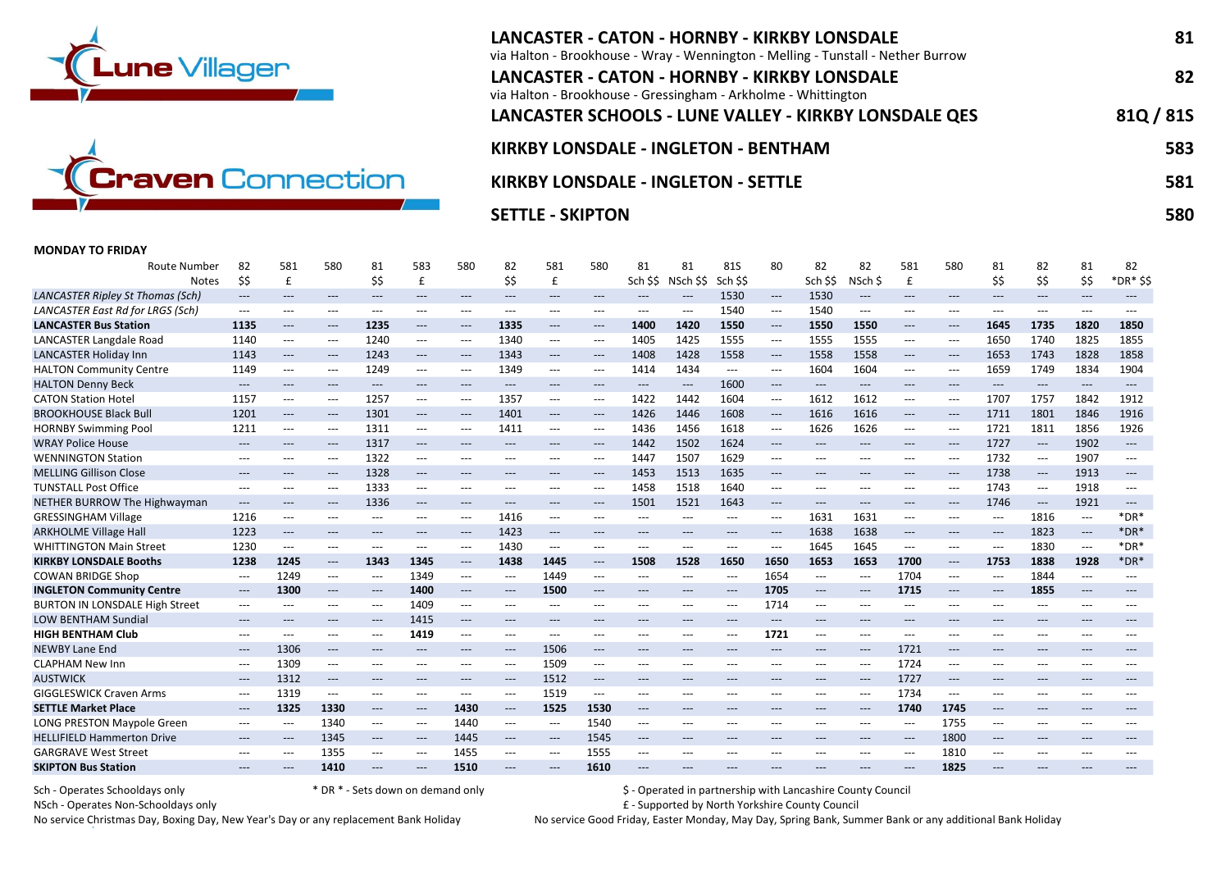



# LANCASTER - CATON - HORNBY - KIRKBY LONSDALE 81 via Halton - Brookhouse - Wray - Wennington - Melling - Tunstall - Nether Burrow LANCASTER - CATON - HORNBY - KIRKBY LONSDALE 82 via Halton - Brookhouse - Gressingham - Arkholme - Whittington LANCASTER SCHOOLS - LUNE VALLEY - KIRKBY LONSDALE QES 81Q / 81S KIRKBY LONSDALE - INGLETON - BENTHAM 583 KIRKBY LONSDALE - INGLETON - SETTLE **1998 - SETTLE SELL SETTLE** SS1

## SETTLE - SKIPTON 580 POSTED FOR THE SETTLE - SKIPTON 580 POSTED FOR THE SETTLE - SKIPTON 580 POSTED FOR THE SE

#### MONDAY TO FRIDAY

| Route Number                            | 82                                       | 581                 | 580                      | 81                  | 583                 | 580                                      | 82                                       | 581                                      | 580                                      | 81                  | 81                  | 81S                 | 80                                       | 82                       | 82                                       | 581                       | 580                                      | 81    | 82                                       | 81                       | 82                       |
|-----------------------------------------|------------------------------------------|---------------------|--------------------------|---------------------|---------------------|------------------------------------------|------------------------------------------|------------------------------------------|------------------------------------------|---------------------|---------------------|---------------------|------------------------------------------|--------------------------|------------------------------------------|---------------------------|------------------------------------------|-------|------------------------------------------|--------------------------|--------------------------|
| <b>Notes</b>                            | \$\$                                     | £                   |                          | \$\$                | £                   |                                          | \$\$                                     | £                                        |                                          | Sch \$\$            | NSch \$\$           | Sch \$\$            |                                          | Sch SS                   | NSch \$                                  | £                         |                                          | \$\$  | ŚŚ.                                      | \$\$                     | *DR* \$\$                |
| <b>LANCASTER Ripley St Thomas (Sch)</b> | $---$                                    | $---$               | ---                      | ---                 | ---                 | $\qquad \qquad \cdots$                   | $---$                                    | $\qquad \qquad \cdots$                   | $---$                                    | $---$               | $\qquad \qquad - -$ | 1530                | $\hspace{0.05cm} \ldots$                 | 1530                     | $\qquad \qquad - -$                      | $---$                     | $---$                                    | $---$ | $---$                                    | $\hspace{0.05cm} \ldots$ | $---$                    |
| LANCASTER East Rd for LRGS (Sch)        | $---$                                    | $---$               | $---$                    | ---                 | $---$               | $---$                                    | $---$                                    | $---$                                    | $---$                                    | $---$               | $---$               | 1540                | ---                                      | 1540                     | $\hspace{0.05cm} \ldots \hspace{0.05cm}$ | $---$                     | $\qquad \qquad - -$                      | $---$ | $---$                                    | $---$                    | $---$                    |
| <b>LANCASTER Bus Station</b>            | 1135                                     | $\qquad \qquad - -$ | ---                      | 1235                | $\qquad \qquad - -$ | $---$                                    | 1335                                     | $\qquad \qquad \cdots$                   | $\hspace{0.05cm} \ldots$                 | 1400                | 1420                | 1550                | $\hspace{0.05cm} \ldots \hspace{0.05cm}$ | 1550                     | 1550                                     | $---$                     | $---$                                    | 1645  | 1735                                     | 1820                     | 1850                     |
| <b>LANCASTER Langdale Road</b>          | 1140                                     | ---                 | ---                      | 1240                | ---                 | $---$                                    | 1340                                     | $---$                                    | $\hspace{0.05cm} \ldots$                 | 1405                | 1425                | 1555                | ---                                      | 1555                     | 1555                                     | $---$                     | $---$                                    | 1650  | 1740                                     | 1825                     | 1855                     |
| <b>LANCASTER Holiday Inn</b>            | 1143                                     | $\qquad \qquad - -$ | $\hspace{0.05cm} \ldots$ | 1243                | $\qquad \qquad - -$ | $\hspace{0.05cm} \ldots \hspace{0.05cm}$ | 1343                                     | $\hspace{0.05cm} \ldots$                 | $\hspace{0.05cm} \ldots$                 | 1408                | 1428                | 1558                | $\hspace{0.05cm} \ldots$                 | 1558                     | 1558                                     | $\hspace{0.05cm} \ldots$  | $---$                                    | 1653  | 1743                                     | 1828                     | 1858                     |
| <b>HALTON Community Centre</b>          | 1149                                     | ---                 | ---                      | 1249                | $\qquad \qquad - -$ | $\hspace{0.05cm} \ldots \hspace{0.05cm}$ | 1349                                     | $\hspace{0.05cm} \ldots$                 | $\hspace{0.05cm} \ldots$                 | 1414                | 1434                | ---                 | $---$                                    | 1604                     | 1604                                     | $\qquad \qquad -\qquad -$ | $\qquad \qquad -\qquad -$                | 1659  | 1749                                     | 1834                     | 1904                     |
| <b>HALTON Denny Beck</b>                | ---                                      | $\qquad \qquad - -$ | $---$                    | $---$               | ---                 | $\qquad \qquad \cdots$                   | $\qquad \qquad - -$                      | $---$                                    | $---$                                    | $\qquad \qquad - -$ | ---                 | 1600                | $\qquad \qquad - -$                      | $\hspace{0.05cm} \ldots$ | $\hspace{0.05cm} \ldots \hspace{0.05cm}$ | $\qquad \qquad - -$       | $---$                                    | $---$ | $\hspace{0.05cm} \ldots \hspace{0.05cm}$ | $\hspace{0.05cm} \ldots$ | $---$                    |
| <b>CATON Station Hotel</b>              | 1157                                     | ---                 | ---                      | 1257                | $\qquad \qquad - -$ | $\hspace{0.05cm} \ldots$                 | 1357                                     | $\hspace{0.05cm} \ldots$                 | $---$                                    | 1422                | 1442                | 1604                | $---$                                    | 1612                     | 1612                                     | $---$                     | $---$                                    | 1707  | 1757                                     | 1842                     | 1912                     |
| <b>BROOKHOUSE Black Bull</b>            | 1201                                     | $\qquad \qquad - -$ | $---$                    | 1301                | $\qquad \qquad - -$ | $---$                                    | 1401                                     | $---$                                    | $\hspace{0.05cm} \ldots$                 | 1426                | 1446                | 1608                | $\hspace{0.05cm} \ldots \hspace{0.05cm}$ | 1616                     | 1616                                     | $\hspace{0.05cm} \ldots$  | $---$                                    | 1711  | 1801                                     | 1846                     | 1916                     |
| <b>HORNBY Swimming Pool</b>             | 1211                                     | $---$               | ---                      | 1311                | ---                 | $---$                                    | 1411                                     | $---$                                    | $---$                                    | 1436                | 1456                | 1618                | $---$                                    | 1626                     | 1626                                     | $\qquad \qquad -\qquad -$ | $---$                                    | 1721  | 1811                                     | 1856                     | 1926                     |
| <b>WRAY Police House</b>                | $\hspace{0.05cm} \ldots$                 | $---$               | $\qquad \qquad - -$      | 1317                | $\qquad \qquad - -$ | $---$                                    | $---$                                    | $---$                                    | $\hspace{0.05cm} \ldots$                 | 1442                | 1502                | 1624                | $\qquad \qquad - -$                      | $---$                    | $---$                                    | $---$                     | $---$                                    | 1727  | $\hspace{0.05cm} \ldots \hspace{0.05cm}$ | 1902                     | $\hspace{0.05cm} \ldots$ |
| <b>WENNINGTON Station</b>               | ---                                      | $---$               | $\hspace{0.05cm} \ldots$ | 1322                | $---$               | $---$                                    | $---$                                    | $---$                                    | $---$                                    | 1447                | 1507                | 1629                | $---$                                    | $---$                    | $---$                                    | $---$                     | $---$                                    | 1732  | $---$                                    | 1907                     | $---$                    |
| <b>MELLING Gillison Close</b>           | $---$                                    | $---$               | $\qquad \qquad - -$      | 1328                | $---$               | $---$                                    | $---$                                    | $---$                                    | $\hspace{0.05cm} \ldots$                 | 1453                | 1513                | 1635                | $\qquad \qquad - -$                      | $---$                    | $---$                                    | $---$                     | $---$                                    | 1738  | $\hspace{0.05cm} \ldots$                 | 1913                     | $---$                    |
| <b>TUNSTALL Post Office</b>             | $---$                                    | $---$               | ---                      | 1333                | ---                 | $---$                                    | $\hspace{0.05cm} \ldots \hspace{0.05cm}$ | $---$                                    | $---$                                    | 1458                | 1518                | 1640                | $\qquad \qquad - -$                      | $---$                    | $---$                                    | $---$                     | $---$                                    | 1743  | $\hspace{0.05cm} \ldots \hspace{0.05cm}$ | 1918                     | $---$                    |
| NETHER BURROW The Highwayman            | ---                                      | $\qquad \qquad - -$ | $---$                    | 1336                | $\qquad \qquad - -$ | $---$                                    | $\qquad \qquad - -$                      | $---$                                    | $\hspace{0.05cm} \ldots$                 | 1501                | 1521                | 1643                | ---                                      | $\qquad \qquad - -$      | $---$                                    | $\qquad \qquad - -$       | $---$                                    | 1746  | $\hspace{0.05cm} \dashrightarrow$        | 1921                     | $\hspace{0.05cm} \ldots$ |
| <b>GRESSINGHAM Village</b>              | 1216                                     | ---                 | ---                      | $---$               | ---                 | $\hspace{0.05cm} \ldots \hspace{0.05cm}$ | 1416                                     | $---$                                    | $---$                                    | $---$               | $---$               | ---                 | $---$                                    | 1631                     | 1631                                     | $---$                     | $---$                                    | ---   | 1816                                     | $\hspace{0.05cm} \ldots$ | $*$ DR $*$               |
| <b>ARKHOLME Village Hall</b>            | 1223                                     | $---$               | $---$                    | $---$               | ---                 | $\hspace{0.05cm} \ldots$                 | 1423                                     | $---$                                    | $---$                                    | $\qquad \qquad - -$ | $---$               | ---                 | $---$                                    | 1638                     | 1638                                     | $---$                     | $---$                                    | $---$ | 1823                                     | $\qquad \qquad - -$      | $*$ DR $*$               |
| <b>WHITTINGTON Main Street</b>          | 1230                                     | $---$               | ---                      | ---                 | ---                 | $\hspace{0.05cm} \ldots \hspace{0.05cm}$ | 1430                                     | $\hspace{0.05cm} \ldots \hspace{0.05cm}$ | $\qquad \qquad -$                        | ---                 | $---$               | ---                 | $---$                                    | 1645                     | 1645                                     | $---$                     | $---$                                    | ---   | 1830                                     | $\overline{\phantom{a}}$ | $*$ DR $*$               |
| <b>KIRKBY LONSDALE Booths</b>           | 1238                                     | 1245                | $\qquad \qquad - -$      | 1343                | 1345                | $---$                                    | 1438                                     | 1445                                     | $\qquad \qquad - -$                      | 1508                | 1528                | 1650                | 1650                                     | 1653                     | 1653                                     | 1700                      | $\hspace{0.05cm} \ldots \hspace{0.05cm}$ | 1753  | 1838                                     | 1928                     | $*$ DR $*$               |
| <b>COWAN BRIDGE Shop</b>                | $---$                                    | 1249                | ---                      | ---                 | 1349                | $---$                                    | $---$                                    | 1449                                     | $---$                                    | $---$               | $---$               | $---$               | 1654                                     | $---$                    | $---$                                    | 1704                      | $---$                                    | $---$ | 1844                                     | ---                      | $---$                    |
| <b>INGLETON Community Centre</b>        | $---$                                    | 1300                | $\hspace{0.05cm} \ldots$ | $---$               | 1400                | $---$                                    | $---$                                    | 1500                                     | $---$                                    | $---$               | $---$               | $\qquad \qquad - -$ | 1705                                     | $\hspace{0.05cm} \ldots$ | $---$                                    | 1715                      | $---$                                    | $---$ | 1855                                     | $\qquad \qquad - -$      | $---$                    |
| <b>BURTON IN LONSDALE High Street</b>   | $\hspace{0.05cm} \ldots$                 | $---$               | ---                      | ---                 | 1409                | $\hspace{0.05cm} \ldots$                 | $\hspace{0.05cm} \ldots$                 | $\hspace{0.05cm} \ldots$                 | $\qquad \qquad -\qquad -$                | $---$               | $---$               | $---$               | 1714                                     | $---$                    | $\qquad \qquad -\qquad -$                | $\qquad \qquad -\qquad -$ | $\qquad \qquad -\qquad -$                | $---$ | $---$                                    | ---                      | $---$                    |
| <b>LOW BENTHAM Sundial</b>              | $\hspace{0.05cm} \ldots \hspace{0.05cm}$ | $---$               | ---                      | $\qquad \qquad - -$ | 1415                | $---$                                    | $---$                                    | $---$                                    | $---$                                    | $---$               | $---$               | $---$               | $---$                                    | $---$                    | $---$                                    | $---$                     | $---$                                    | $---$ | $---$                                    | $---$                    | $---$                    |
| <b>HIGH BENTHAM Club</b>                | $\qquad \qquad -\qquad -$                | $---$               | ---                      | ---                 | 1419                | ---                                      | $\qquad \qquad - -$                      | $\hspace{0.05cm} \ldots$                 | $---$                                    | $---$               | $---$               | $---$               | 1721                                     | $---$                    | $\qquad \qquad -\qquad -$                | ---                       | $---$                                    | $---$ | $---$                                    | ---                      |                          |
| <b>NEWBY Lane End</b>                   | $\hspace{0.05cm} \dashrightarrow$        | 1306                | $\hspace{0.05cm} \ldots$ | $\qquad \qquad - -$ | $\qquad \qquad - -$ | $\hspace{0.05cm} \ldots$                 | $\qquad \qquad - -$                      | 1506                                     | $\hspace{0.05cm} \ldots$                 | $\qquad \qquad - -$ | $\qquad \qquad - -$ | $---$               | $\qquad \qquad - -$                      | $---$                    | $---$                                    | 1721                      | $---$                                    | $---$ | $\qquad \qquad - -$                      | $\qquad \qquad - -$      |                          |
| <b>CLAPHAM New Inn</b>                  | $---$                                    | 1309                | ---                      | ---                 | ---                 | $---$                                    | $---$                                    | 1509                                     | $---$                                    | $---$               | $---$               | $---$               | $---$                                    | $---$                    | $---$                                    | 1724                      | $\qquad \qquad - -$                      | $---$ | $---$                                    | $---$                    |                          |
| <b>AUSTWICK</b>                         | $\qquad \qquad - -$                      | 1312                | $---$                    | $---$               | $---$               | $---$                                    | $---$                                    | 1512                                     | $---$                                    | $---$               | $---$               | ---                 | ---                                      | ---                      | $---$                                    | 1727                      | $---$                                    | $---$ | $---$                                    | $---$                    | ---                      |
| <b>GIGGLESWICK Craven Arms</b>          | $---$                                    | 1319                | ---                      | ---                 | $\qquad \qquad - -$ | $---$                                    | $\hspace{0.05cm} \ldots$                 | 1519                                     | $\hspace{0.05cm} \ldots \hspace{0.05cm}$ | $---$               | $---$               | $---$               | $---$                                    | $---$                    | $---$                                    | 1734                      | $---$                                    | $---$ | $---$                                    | ---                      |                          |
| <b>SETTLE Market Place</b>              | $---$                                    | 1325                | 1330                     | ---                 | $---$               | 1430                                     | $---$                                    | 1525                                     | 1530                                     | $---$               | $---$               | $---$               | $---$                                    | $---$                    | $---$                                    | 1740                      | 1745                                     | $---$ | $---$                                    | $---$                    | $---$                    |
| LONG PRESTON Maypole Green              | $\hspace{0.05cm} \ldots$                 | $---$               | 1340                     | ---                 | $---$               | 1440                                     | $---$                                    | $---$                                    | 1540                                     | $---$               | $---$               | $---$               | $---$                                    | $---$                    | $---$                                    | $---$                     | 1755                                     | ---   | $---$                                    | $---$                    | ---                      |
| <b>HELLIFIELD Hammerton Drive</b>       | $---$                                    | $---$               | 1345                     | $---$               | $---$               | 1445                                     | $---$                                    | $---$                                    | 1545                                     | $---$               | $---$               | $---$               | $---$                                    | $---$                    | $---$                                    | $---$                     | 1800                                     | $---$ | $---$                                    | $---$                    | $---$                    |
| <b>GARGRAVE West Street</b>             |                                          | $---$               | 1355                     | ---                 | ---                 | 1455                                     | $\hspace{0.05cm} \ldots$                 | $\hspace{0.05cm} \ldots$                 | 1555                                     |                     | $---$               | ---                 | ---                                      | ---                      | $---$                                    | $---$                     | 1810                                     | $---$ | $---$                                    | ---                      |                          |
| <b>SKIPTON Bus Station</b>              |                                          | ---                 | 1410                     |                     |                     | 1510                                     |                                          | $---$                                    | 1610                                     |                     |                     |                     |                                          |                          |                                          |                           | 1825                                     |       |                                          |                          |                          |

Sch - Operates Schooldays only **the schooldays only the set of the sets** down on demand only **S** - Operated in partnership with Lancashire County Council

NSch - Operates Non-Schooldays only **E** - Supported by North Yorkshire County Council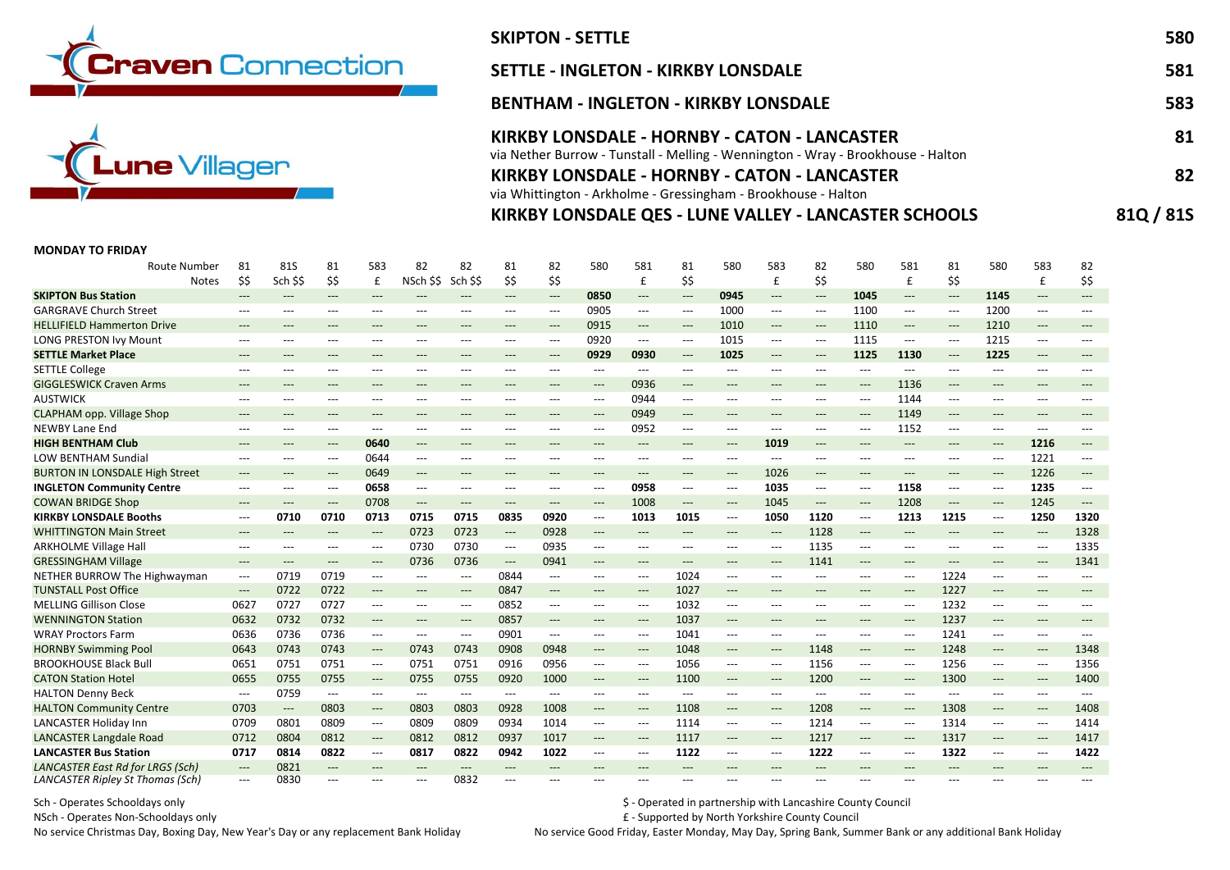



# SKIPTON - SETTLE 580 SETTLE - INGLETON - KIRKBY LONSDALE 581 BENTHAM - INGLETON - KIRKBY LONSDALE 583 KIRKBY LONSDALE - HORNBY - CATON - LANCASTER 61 via Nether Burrow - Tunstall - Melling - Wennington - Wray - Brookhouse - Halton KIRKBY LONSDALE - HORNBY - CATON - LANCASTER 82 via Whittington - Arkholme - Gressingham - Brookhouse - Halton

## KIRKBY LONSDALE QES - LUNE VALLEY - LANCASTER SCHOOLS 81Q / 81S

### MONDAY TO FRIDAY

| Route Number                          | 81                                       | 81S                      | 81                                       | 583                                      | 82                                       | 82                                       | 81                                       | 82                                       | 580                                      | 581                                      | 81                                       | 580                                      | 583                                      | 82                                       | 580                                      | 581                                      | 81                                       | 580                                      | 583                               | 82                                       |
|---------------------------------------|------------------------------------------|--------------------------|------------------------------------------|------------------------------------------|------------------------------------------|------------------------------------------|------------------------------------------|------------------------------------------|------------------------------------------|------------------------------------------|------------------------------------------|------------------------------------------|------------------------------------------|------------------------------------------|------------------------------------------|------------------------------------------|------------------------------------------|------------------------------------------|-----------------------------------|------------------------------------------|
| <b>Notes</b>                          | \$\$                                     | Sch \$\$                 | \$\$                                     | £                                        | NSch \$\$                                | Sch \$\$                                 | \$\$                                     | \$\$                                     |                                          | £                                        | \$\$                                     |                                          | £                                        | \$\$                                     |                                          | $\mathbf{f}$                             | \$\$                                     |                                          | £                                 | \$\$                                     |
| <b>SKIPTON Bus Station</b>            | $---$                                    | ---                      | $\qquad \qquad - -$                      | $---$                                    |                                          | $---$                                    | $\qquad \qquad - -$                      | $\hspace{0.05cm} \dashrightarrow$        | 0850                                     | $\hspace{0.05cm} \ldots \hspace{0.05cm}$ | $\hspace{0.05cm} \ldots$                 | 0945                                     | $\hspace{0.05cm} \ldots$                 | $\hspace{0.05cm} \ldots \hspace{0.05cm}$ | 1045                                     | $\qquad \qquad - -$                      | $\qquad \qquad - -$                      | 1145                                     | $---$                             | ---                                      |
| <b>GARGRAVE Church Street</b>         | $---$                                    | ---                      | $---$                                    | $---$                                    | ---                                      | $---$                                    | $---$                                    | $\hspace{0.05cm} \ldots \hspace{0.05cm}$ | 0905                                     | $\hspace{0.05cm} \ldots \hspace{0.05cm}$ | $\hspace{0.05cm} \ldots \hspace{0.05cm}$ | 1000                                     | $\hspace{0.05cm} \ldots \hspace{0.05cm}$ | $---$                                    | 1100                                     | $\hspace{0.05cm} \ldots \hspace{0.05cm}$ | $\hspace{0.05cm} \ldots$                 | 1200                                     | ---                               | $\qquad \qquad - -$                      |
| <b>HELLIFIELD Hammerton Drive</b>     | $---$                                    | ---                      | $---$                                    | $---$                                    | $---$                                    | $---$                                    | $---$                                    | $---$                                    | 0915                                     | $\qquad \qquad - -$                      | $---$                                    | 1010                                     | $---$                                    | $---$                                    | 1110                                     | $---$                                    | $---$                                    | 1210                                     | $---$                             | ---                                      |
| <b>LONG PRESTON Ivy Mount</b>         | $---$                                    | ---                      | $---$                                    | $---$                                    | ---                                      | ---                                      | ---                                      | ---                                      | 0920                                     | $\hspace{0.05cm} \ldots \hspace{0.05cm}$ | $---$                                    | 1015                                     | $\hspace{0.05cm} \ldots$                 | $\qquad \qquad -\qquad -$                | 1115                                     | $\hspace{0.05cm} \ldots \hspace{0.05cm}$ | $\hspace{0.05cm} \ldots \hspace{0.05cm}$ | 1215                                     | $---$                             |                                          |
| <b>SETTLE Market Place</b>            | $---$                                    | ---                      | ---                                      | $---$                                    | $---$                                    | ---                                      | $---$                                    | $\qquad \qquad - -$                      | 0929                                     | 0930                                     | $\hspace{0.05cm} \ldots$                 | 1025                                     | $\hspace{0.05cm} \ldots$                 | $\hspace{0.05cm} \ldots$                 | 1125                                     | 1130                                     | $\hspace{0.05cm} \ldots \hspace{0.05cm}$ | 1225                                     | $\qquad \qquad - -$               | $---$                                    |
| <b>SETTLE College</b>                 | $---$                                    | ---                      | $---$                                    | $---$                                    | $---$                                    | $---$                                    | $---$                                    | $---$                                    | ---                                      | $---$                                    | $---$                                    | ---                                      | $---$                                    | $---$                                    | $---$                                    | $\qquad \qquad - -$                      | $---$                                    | ---                                      | $---$                             | ---                                      |
| <b>GIGGLESWICK Craven Arms</b>        | $\hspace{0.05cm} \ldots \hspace{0.05cm}$ | ---                      | $---$                                    | $---$                                    | $---$                                    | $---$                                    | $---$                                    | $---$                                    | $\hspace{0.05cm} \ldots$                 | 0936                                     | $\hspace{0.05cm} \ldots$                 | $---$                                    | $---$                                    | $---$                                    | $\qquad \qquad - -$                      | 1136                                     | $\hspace{0.05cm} \ldots \hspace{0.05cm}$ | $---$                                    | $---$                             | $\hspace{0.05cm} \ldots \hspace{0.05cm}$ |
| <b>AUSTWICK</b>                       | $---$                                    | $---$                    | $---$                                    | $---$                                    | $---$                                    | $---$                                    | $---$                                    | $---$                                    | $\qquad \qquad - -$                      | 0944                                     | $---$                                    | $---$                                    | $\qquad \qquad - -$                      | $---$                                    | $---$                                    | 1144                                     | $---$                                    | $---$                                    | $---$                             | $---$                                    |
| <b>CLAPHAM opp. Village Shop</b>      | $---$                                    | ---                      | ---                                      | $---$                                    |                                          | $---$                                    | ---                                      | $---$                                    | $---$                                    | 0949                                     | $\hspace{0.05cm} \ldots$                 | $---$                                    | ---                                      | ---                                      | ---                                      | 1149                                     | $\hspace{0.05cm} \ldots$                 | ---                                      | $\qquad \qquad - -$               | ---                                      |
| <b>NEWBY Lane End</b>                 | $---$                                    | ---                      | $---$                                    | $---$                                    | ---                                      | $---$                                    | $---$                                    | $---$                                    | ---                                      | 0952                                     | $\hspace{0.05cm} \ldots \hspace{0.05cm}$ | $---$                                    | $---$                                    | $\qquad \qquad -\qquad -$                | ---                                      | 1152                                     | $---$                                    | ---                                      | ---                               |                                          |
| <b>HIGH BENTHAM Club</b>              | $---$                                    | ---                      | $---$                                    | 0640                                     | ---                                      | $\hspace{0.05cm} \ldots \hspace{0.05cm}$ | $---$                                    | ---                                      | ---                                      | $---$                                    | $\hspace{0.05cm} \ldots \hspace{0.05cm}$ | $\hspace{0.05cm} \ldots \hspace{0.05cm}$ | 1019                                     | $---$                                    | ---                                      | $---$                                    | $---$                                    | $---$                                    | 1216                              | $---$                                    |
| <b>LOW BENTHAM Sundial</b>            | $---$                                    | ---                      | $---$                                    | 0644                                     | $\hspace{0.05cm} \ldots$                 | ---                                      | $---$                                    | ---                                      | ---                                      | $---$                                    | $\hspace{0.05cm} \ldots$                 | ---                                      | $---$                                    | $\qquad \qquad -\qquad -$                | ---                                      | $---$                                    | $---$                                    | $\hspace{0.05cm} \ldots \hspace{0.05cm}$ | 1221                              | $\hspace{0.05cm} \ldots \hspace{0.05cm}$ |
| <b>BURTON IN LONSDALE High Street</b> | $---$                                    | ---                      | $\qquad \qquad - -$                      | 0649                                     | ---                                      | $---$                                    | $---$                                    | $---$                                    | $\hspace{0.05cm} \ldots$                 | $---$                                    | $\qquad \qquad - -$                      | $\hspace{0.05cm} \ldots$                 | 1026                                     | $\hspace{0.05cm} \ldots$                 | $\qquad \qquad - -$                      | $\hspace{0.05cm} \ldots$                 | $\qquad \qquad - -$                      | $\hspace{0.05cm} \ldots$                 | 1226                              | $---$                                    |
| <b>INGLETON Community Centre</b>      | $---$                                    | $---$                    | $---$                                    | 0658                                     | $---$                                    | $---$                                    | $---$                                    | $---$                                    | ---                                      | 0958                                     | $---$                                    | $---$                                    | 1035                                     | $\hspace{0.05cm} \ldots \hspace{0.05cm}$ | ---                                      | 1158                                     | $---$                                    | ---                                      | 1235                              | $---$                                    |
| <b>COWAN BRIDGE Shop</b>              | $---$                                    | ---                      | $---$                                    | 0708                                     | $\qquad \qquad - -$                      | $---$                                    | $---$                                    | $\hspace{0.05cm} \ldots \hspace{0.05cm}$ | $---$                                    | 1008                                     | $\qquad \qquad - -$                      | ---                                      | 1045                                     | $\hspace{0.05cm} \ldots \hspace{0.05cm}$ | ---                                      | 1208                                     | $\hspace{0.05cm} \ldots$                 | $\qquad \qquad - -$                      | 1245                              | $\qquad \qquad - - -$                    |
| <b>KIRKBY LONSDALE Booths</b>         | $\hspace{0.05cm} \ldots$                 | 0710                     | 0710                                     | 0713                                     | 0715                                     | 0715                                     | 0835                                     | 0920                                     | $\hspace{0.05cm} \ldots \hspace{0.05cm}$ | 1013                                     | 1015                                     | ---                                      | 1050                                     | 1120                                     | $\hspace{0.05cm} \ldots \hspace{0.05cm}$ | 1213                                     | 1215                                     | $\hspace{0.05cm} \ldots \hspace{0.05cm}$ | 1250                              | 1320                                     |
| <b>WHITTINGTON Main Street</b>        | $---$                                    | ---                      | $\qquad \qquad - -$                      | $\qquad \qquad - -$                      | 0723                                     | 0723                                     | $\hspace{0.05cm} \ldots$                 | 0928                                     | $---$                                    | $\hspace{0.05cm} \ldots$                 | $\qquad \qquad - -$                      | $\qquad \qquad - -$                      | $\hspace{0.05cm} \ldots$                 | 1128                                     | $---$                                    | $---$                                    | $\qquad \qquad - -$                      | $\qquad \qquad - -$                      | $\hspace{0.05cm} \dashrightarrow$ | 1328                                     |
| <b>ARKHOLME Village Hall</b>          | $\hspace{0.05cm} \ldots \hspace{0.05cm}$ | ---                      | ---                                      | $\hspace{0.05cm} \ldots \hspace{0.05cm}$ | 0730                                     | 0730                                     | $\hspace{0.05cm} \ldots \hspace{0.05cm}$ | 0935                                     | $\hspace{0.05cm} \ldots \hspace{0.05cm}$ | $---$                                    | $\hspace{0.05cm} \ldots \hspace{0.05cm}$ | $---$                                    | $\hspace{0.05cm} \ldots \hspace{0.05cm}$ | 1135                                     | $\hspace{0.05cm} \ldots \hspace{0.05cm}$ | $\hspace{0.05cm} \ldots$                 | $---$                                    | ---                                      | ---                               | 1335                                     |
| <b>GRESSINGHAM Village</b>            | $---$                                    | $---$                    | $---$                                    | $---$                                    | 0736                                     | 0736                                     | $\hspace{0.05cm} \ldots$                 | 0941                                     | ---                                      | $---$                                    | $---$                                    | $---$                                    | $---$                                    | 1141                                     | $---$                                    | $---$                                    | $---$                                    | ---                                      | $---$                             | 1341                                     |
| NETHER BURROW The Highwayman          | $---$                                    | 0719                     | 0719                                     | $\hspace{0.05cm} \ldots$                 | $---$                                    | $---$                                    | 0844                                     | $---$                                    | ---                                      | $---$                                    | 1024                                     | $---$                                    | $---$                                    | $---$                                    | ---                                      | $---$                                    | 1224                                     | ---                                      | $---$                             | $\hspace{0.05cm} \ldots$                 |
| <b>TUNSTALL Post Office</b>           | $\hspace{0.05cm} \dashrightarrow$        | 0722                     | 0722                                     | $\qquad \qquad - -$                      | $---$                                    | $\qquad \qquad - -$                      | 0847                                     | $\qquad \qquad - -$                      | ---                                      | $---$                                    | 1027                                     | $\qquad \qquad - -$                      | $---$                                    | $---$                                    | $\qquad \qquad - -$                      | $---$                                    | 1227                                     | $---$                                    | $---$                             | $---$                                    |
| <b>MELLING Gillison Close</b>         | 0627                                     | 0727                     | 0727                                     | $---$                                    | $---$                                    | $---$                                    | 0852                                     | $---$                                    | ---                                      | $---$                                    | 1032                                     | $---$                                    | $---$                                    | $---$                                    | ---                                      | $\qquad \qquad - -$                      | 1232                                     | $---$                                    | $---$                             | $---$                                    |
| <b>WENNINGTON Station</b>             | 0632                                     | 0732                     | 0732                                     | $\hspace{0.05cm} \dashrightarrow$        | ---                                      | $---$                                    | 0857                                     | $---$                                    | ---                                      | $\hspace{0.05cm} \ldots \hspace{0.05cm}$ | 1037                                     | ---                                      | $---$                                    | $---$                                    | $---$                                    | $\hspace{0.05cm} \ldots$                 | 1237                                     | ---                                      | $---$                             | $---$                                    |
| <b>WRAY Proctors Farm</b>             | 0636                                     | 0736                     | 0736                                     | $\hspace{0.05cm} \ldots \hspace{0.05cm}$ | $---$                                    | $\hspace{0.05cm} \ldots \hspace{0.05cm}$ | 0901                                     | $---$                                    | ---                                      | $---$                                    | 1041                                     | ---                                      | $\qquad \qquad - -$                      | $---$                                    | $---$                                    | $\qquad \qquad - -$                      | 1241                                     | $---$                                    | ---                               | $---$                                    |
| <b>HORNBY Swimming Pool</b>           | 0643                                     | 0743                     | 0743                                     | $\qquad \qquad - -$                      | 0743                                     | 0743                                     | 0908                                     | 0948                                     | ---                                      | $---$                                    | 1048                                     | $\qquad \qquad - -$                      | $---$                                    | 1148                                     | ---                                      | $\hspace{0.05cm} \ldots$                 | 1248                                     | $\qquad \qquad - -$                      | $\qquad \qquad - -$               | 1348                                     |
| <b>BROOKHOUSE Black Bull</b>          | 0651                                     | 0751                     | 0751                                     | $\hspace{0.05cm} \ldots$                 | 0751                                     | 0751                                     | 0916                                     | 0956                                     | ---                                      | $---$                                    | 1056                                     | ---                                      | $---$                                    | 1156                                     | ---                                      | $---$                                    | 1256                                     | $\hspace{0.05cm} \ldots \hspace{0.05cm}$ | $---$                             | 1356                                     |
| <b>CATON Station Hotel</b>            | 0655                                     | 0755                     | 0755                                     | $\hspace{0.05cm} \ldots \hspace{0.05cm}$ | 0755                                     | 0755                                     | 0920                                     | 1000                                     | $---$                                    | $\hspace{0.05cm} \ldots$                 | 1100                                     | $---$                                    | $---$                                    | 1200                                     | $\qquad \qquad - -$                      | $\hspace{0.05cm} \ldots$                 | 1300                                     | $\hspace{0.05cm} \ldots \hspace{0.05cm}$ | $---$                             | 1400                                     |
| <b>HALTON Denny Beck</b>              | $\hspace{0.05cm} \ldots$                 | 0759                     | $\hspace{0.05cm} \ldots \hspace{0.05cm}$ | $\hspace{0.05cm} \ldots$                 | $\hspace{0.05cm} \ldots \hspace{0.05cm}$ | $---$                                    | $\hspace{0.05cm} \ldots \hspace{0.05cm}$ | ---                                      | ---                                      | $---$                                    | $\hspace{0.05cm} \ldots$                 | $---$                                    | $---$                                    | $---$                                    | ---                                      | $---$                                    | $\hspace{0.05cm} \ldots \hspace{0.05cm}$ | $---$                                    | $---$                             | $\qquad \qquad - -$                      |
| <b>HALTON Community Centre</b>        | 0703                                     | $\hspace{0.05cm} \ldots$ | 0803                                     | $---$                                    | 0803                                     | 0803                                     | 0928                                     | 1008                                     | $\hspace{0.05cm} \ldots \hspace{0.05cm}$ | $\hspace{0.05cm} \ldots$                 | 1108                                     | $---$                                    | $---$                                    | 1208                                     | $\qquad \qquad - -$                      | $---$                                    | 1308                                     | $---$                                    | $---$                             | 1408                                     |
| <b>LANCASTER Holiday Inn</b>          | 0709                                     | 0801                     | 0809                                     | $\hspace{0.05cm} \ldots \hspace{0.05cm}$ | 0809                                     | 0809                                     | 0934                                     | 1014                                     | ---                                      | $---$                                    | 1114                                     | $---$                                    | $---$                                    | 1214                                     | ---                                      | $---$                                    | 1314                                     | ---                                      | $---$                             | 1414                                     |
| <b>LANCASTER Langdale Road</b>        | 0712                                     | 0804                     | 0812                                     | $\hspace{0.05cm} \dashrightarrow$        | 0812                                     | 0812                                     | 0937                                     | 1017                                     | $---$                                    | $\qquad \qquad - -$                      | 1117                                     | $\qquad \qquad - -$                      | $---$                                    | 1217                                     | $\qquad \qquad - -$                      | $\hspace{0.05cm} \ldots$                 | 1317                                     | $\qquad \qquad - -$                      | $\qquad \qquad - -$               | 1417                                     |
| <b>LANCASTER Bus Station</b>          | 0717                                     | 0814                     | 0822                                     | $\hspace{0.05cm} \ldots$                 | 0817                                     | 0822                                     | 0942                                     | 1022                                     | ---                                      | $\hspace{0.05cm} \ldots$                 | 1122                                     | ---                                      | $---$                                    | 1222                                     | $\hspace{0.05cm} \ldots \hspace{0.05cm}$ | $\hspace{0.05cm} \ldots \hspace{0.05cm}$ | 1322                                     | $---$                                    | $---$                             | 1422                                     |
| LANCASTER East Rd for LRGS (Sch)      | $\hspace{0.05cm} \ldots \hspace{0.05cm}$ | 0821                     | $---$                                    | $---$                                    | $\hspace{0.05cm} \ldots \hspace{0.05cm}$ | $---$                                    | $---$                                    | ---                                      |                                          | $---$                                    | ---                                      | ---                                      | ---                                      | $---$                                    | ---                                      | $---$                                    | $\hspace{0.05cm} \ldots \hspace{0.05cm}$ |                                          | $---$                             | ---                                      |
| LANCASTER Ripley St Thomas (Sch)      | $\qquad \qquad - -$                      | 0830                     | $---$                                    |                                          | ---                                      | 0832                                     |                                          | ---                                      |                                          | $---$                                    |                                          | ---                                      |                                          | ---                                      | ---                                      |                                          | ---                                      |                                          | ---                               |                                          |

Sch - Operates Schooldays only November 2012 of the Schooldays only the state of the Schooldays only the Schooldays only the state of the Schooldays only the Schooldays only the Schooldays only the Schooldays only the Scho

NSch - Operates Non-Schooldays only **E** - Supported by North Yorkshire County Council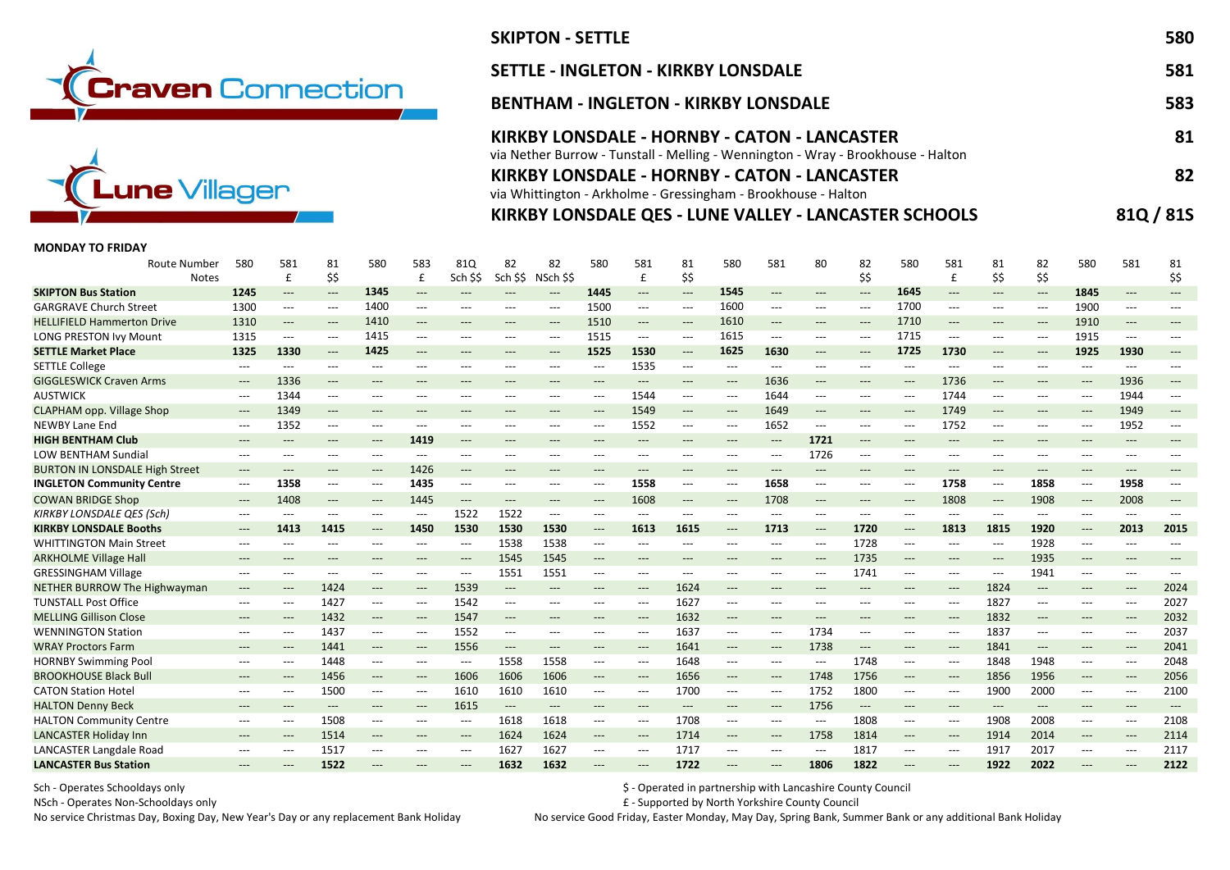



# SKIPTON - SETTLE 580 SETTLE - INGLETON - KIRKBY LONSDALE 581 BENTHAM - INGLETON - KIRKBY LONSDALE 583 KIRKBY LONSDALE - HORNBY - CATON - LANCASTER 81 via Nether Burrow - Tunstall - Melling - Wennington - Wray - Brookhouse - Halton KIRKBY LONSDALE - HORNBY - CATON - LANCASTER 82 via Whittington - Arkholme - Gressingham - Brookhouse - Halton

## KIRKBY LONSDALE QES - LUNE VALLEY - LANCASTER SCHOOLS 81Q / 81S

## MONDAY TO FRIDAY

| <b>Route Number</b><br><b>Notes</b>   | 580                                      | 581<br>£                                 | 81<br>\$\$                               | 580                                      | 583<br>£                                 | 81Q<br>Sch \$\$                          | 82<br>Sch \$\$                           | 82<br>NSch SS                            | 580                                      | 581<br>£                                 | 81<br>\$\$                        | 580                                      | 581                                      | 80                                       | 82<br>\$\$                               | 580                       | 581<br>£                                 | 81<br>\$\$                               | 82<br>\$\$                               | 580                                      | 581                 | 81<br>\$\$                               |
|---------------------------------------|------------------------------------------|------------------------------------------|------------------------------------------|------------------------------------------|------------------------------------------|------------------------------------------|------------------------------------------|------------------------------------------|------------------------------------------|------------------------------------------|-----------------------------------|------------------------------------------|------------------------------------------|------------------------------------------|------------------------------------------|---------------------------|------------------------------------------|------------------------------------------|------------------------------------------|------------------------------------------|---------------------|------------------------------------------|
| <b>SKIPTON Bus Station</b>            | 1245                                     | $---$                                    | $\hspace{0.05cm} \ldots$                 | 1345                                     | $---$                                    | $---$                                    | $---$                                    | $---$                                    | 1445                                     | $---$                                    | $\hspace{0.05cm} \ldots$          | 1545                                     | $---$                                    | $---$                                    | $\qquad \qquad - -$                      | 1645                      | $---$                                    | $---$                                    | $\hspace{0.05cm} \ldots \hspace{0.05cm}$ | 1845                                     |                     | $---$                                    |
| <b>GARGRAVE Church Street</b>         | 1300                                     | $\hspace{0.05cm} \ldots$                 | $\hspace{0.05cm} \ldots \hspace{0.05cm}$ | 1400                                     | ---                                      | $---$                                    | $---$                                    | $---$                                    | 1500                                     | $\hspace{0.05cm} \ldots \hspace{0.05cm}$ | $\hspace{0.05cm} \ldots$          | 1600                                     | $\hspace{0.05cm} \ldots$                 | ---                                      | $---$                                    | 1700                      | ---                                      | $\hspace{0.05cm} \ldots$                 | ---                                      | 1900                                     | $---$               | ---                                      |
| <b>HELLIFIELD Hammerton Drive</b>     | 1310                                     | $\hspace{0.05cm} \ldots \hspace{0.05cm}$ | $\hspace{0.05cm} \ldots$                 | 1410                                     | $\hspace{0.05cm} \ldots \hspace{0.05cm}$ | $---$                                    | $---$                                    | $\qquad \qquad - -$                      | 1510                                     | $\qquad \qquad - -$                      | $---$                             | 1610                                     | $\hspace{0.05cm} \ldots \hspace{0.05cm}$ | ---                                      | $\hspace{0.05cm} \ldots$                 | 1710                      | $---$                                    | $---$                                    | $---$                                    | 1910                                     | $---$               | $---$                                    |
| <b>LONG PRESTON Ivy Mount</b>         | 1315                                     | $---$                                    | $---$                                    | 1415                                     | ---                                      | $\hspace{0.05cm} \ldots \hspace{0.05cm}$ | $\hspace{0.05cm} \ldots \hspace{0.05cm}$ | ---                                      | 1515                                     | $---$                                    | $---$                             | 1615                                     | ---                                      | ---                                      | $---$                                    | 1715                      | $---$                                    | $---$                                    | ---                                      | 1915                                     | $---$               | $---$                                    |
| <b>SETTLE Market Place</b>            | 1325                                     | 1330                                     | $\qquad \qquad - -$                      | 1425                                     | $---$                                    | $\hspace{0.05cm} \ldots$                 | ---                                      | $---$                                    | 1525                                     | 1530                                     | $\hspace{0.05cm} \dashrightarrow$ | 1625                                     | 1630                                     | ---                                      | $\hspace{0.05cm} \ldots$                 | 1725                      | 1730                                     | $\hspace{0.05cm} \ldots \hspace{0.05cm}$ | ---                                      | 1925                                     | 1930                | $\hspace{0.05cm} \ldots$                 |
| <b>SETTLE College</b>                 | $---$                                    | $---$                                    | ---                                      | $---$                                    | ---                                      | $---$                                    | $---$                                    | ---                                      | $---$                                    | 1535                                     | $\hspace{0.05cm} \ldots$          | ---                                      | $---$                                    | ---                                      | $\hspace{0.05cm} \ldots$                 | $\qquad \qquad -\qquad -$ | $---$                                    | $---$                                    | ---                                      | $---$                                    | ---                 |                                          |
| <b>GIGGLESWICK Craven Arms</b>        | $\qquad \qquad - -$                      | 1336                                     | $\hspace{0.05cm} \ldots$                 | $---$                                    | ---                                      | $\hspace{0.05cm} \ldots \hspace{0.05cm}$ | $---$                                    | $\hspace{0.05cm} \ldots$                 | $\hspace{0.05cm} \ldots \hspace{0.05cm}$ | $\qquad \qquad - -$                      | $\qquad \qquad - -$               | $---$                                    | 1636                                     | $\qquad \qquad - -$                      | $\qquad \qquad - -$                      | $\hspace{0.05cm} \ldots$  | 1736                                     | $\qquad \qquad - -$                      | $\hspace{0.05cm} \ldots$                 | $\qquad \qquad - -$                      | 1936                | $\hspace{0.05cm} \ldots$                 |
| <b>AUSTWICK</b>                       | $---$                                    | 1344                                     | $---$                                    | $---$                                    | ---                                      | $---$                                    | $---$                                    | $---$                                    | $---$                                    | 1544                                     | $\hspace{0.05cm} \ldots$          | ---                                      | 1644                                     | ---                                      | $---$                                    | $---$                     | 1744                                     | $---$                                    | ---                                      | $---$                                    | 1944                |                                          |
| <b>CLAPHAM opp. Village Shop</b>      | $\hspace{0.05cm} \ldots$                 | 1349                                     | $\qquad \qquad - -$                      | $---$                                    | $---$                                    | $\hspace{0.05cm} \ldots$                 | $---$                                    | $---$                                    | $---$                                    | 1549                                     | $\qquad \qquad - -$               | $\qquad \qquad - -$                      | 1649                                     | $---$                                    | $\qquad \qquad - -$                      | $---$                     | 1749                                     | $\hspace{0.05cm} \ldots$                 | ---                                      | $\hspace{0.05cm} \ldots$                 | 1949                | $---$                                    |
| <b>NEWBY Lane End</b>                 | $\hspace{0.05cm} \ldots$                 | 1352                                     | $\hspace{0.05cm} \ldots \hspace{0.05cm}$ | $\hspace{0.05cm} \ldots \hspace{0.05cm}$ | ---                                      | $\hspace{0.05cm} \ldots \hspace{0.05cm}$ | $---$                                    | ---                                      | $---$                                    | 1552                                     | $\hspace{0.05cm} \ldots$          | $\hspace{0.05cm} \ldots \hspace{0.05cm}$ | 1652                                     | ---                                      | $\hspace{0.05cm} \ldots \hspace{0.05cm}$ | $\hspace{0.05cm} \ldots$  | 1752                                     | $\hspace{0.05cm} \ldots \hspace{0.05cm}$ | ---                                      | $\hspace{0.05cm} \ldots$                 | 1952                | $\hspace{0.05cm} \ldots \hspace{0.05cm}$ |
| <b>HIGH BENTHAM Club</b>              | $\hspace{0.05cm} \ldots \hspace{0.05cm}$ | $---$                                    | ---                                      | $---$                                    | 1419                                     | $---$                                    | ---                                      | $---$                                    | $---$                                    | $---$                                    | $---$                             | $---$                                    | $---$                                    | 1721                                     | $\hspace{0.05cm} \ldots \hspace{0.05cm}$ | $---$                     | $---$                                    | $---$                                    | ---                                      | $---$                                    | $---$               |                                          |
| <b>LOW BENTHAM Sundial</b>            | ---                                      | $---$                                    | ---                                      | $\qquad \qquad -\qquad -$                | ---                                      | ---                                      | ---                                      | $---$                                    | $---$                                    | ---                                      | $---$                             | ---                                      | $---$                                    | 1726                                     | $\hspace{0.05cm} \ldots \hspace{0.05cm}$ | $---$                     | $---$                                    | $---$                                    |                                          | ---                                      |                     |                                          |
| <b>BURTON IN LONSDALE High Street</b> | $---$                                    | $---$                                    | $---$                                    | $\hspace{0.05cm} \ldots \hspace{0.05cm}$ | 1426                                     | $---$                                    | $---$                                    | $---$                                    | $---$                                    | $---$                                    | $---$                             | ---                                      | $---$                                    | $\hspace{0.05cm} \ldots \hspace{0.05cm}$ | $\hspace{0.05cm} \ldots \hspace{0.05cm}$ | $---$                     | $---$                                    | $---$                                    | $---$                                    | $---$                                    | $---$               |                                          |
| <b>INGLETON Community Centre</b>      | $\hspace{0.05cm} \ldots \hspace{0.05cm}$ | 1358                                     | $\hspace{0.05cm} \ldots \hspace{0.05cm}$ | $\hspace{0.05cm} \ldots \hspace{0.05cm}$ | 1435                                     | $\qquad \qquad - -$                      | $\hspace{0.05cm} \ldots$                 | $\hspace{0.05cm} \ldots$                 | $---$                                    | 1558                                     | $\hspace{0.05cm} \ldots$          | $\hspace{0.05cm} \ldots \hspace{0.05cm}$ | 1658                                     | $\hspace{0.05cm} \ldots \hspace{0.05cm}$ | $\qquad \qquad - -$                      | $\hspace{0.05cm} \ldots$  | 1758                                     | $\hspace{0.05cm} \ldots$                 | 1858                                     | $\hspace{0.05cm} \ldots$                 | 1958                | $\hspace{0.05cm} \ldots$                 |
| <b>COWAN BRIDGE Shop</b>              | $\qquad \qquad - -$                      | 1408                                     | $\qquad \qquad - -$                      | $\hspace{0.05cm} \ldots$                 | 1445                                     | $\qquad \qquad - -$                      | $---$                                    | $\qquad \qquad - -$                      | $---$                                    | 1608                                     | $\qquad \qquad - -$               | $\qquad \qquad - -$                      | 1708                                     | $---$                                    | $\hspace{0.05cm} \ldots \hspace{0.05cm}$ | $\qquad \qquad - -$       | 1808                                     | $\hspace{0.05cm} \ldots \hspace{0.05cm}$ | 1908                                     | $\hspace{0.05cm} \ldots$                 | 2008                | $---$                                    |
| <b>KIRKBY LONSDALE QES (Sch)</b>      | $\hspace{0.05cm} \ldots$                 | $\overline{\phantom{a}}$                 | $---$                                    | $\hspace{0.05cm} \ldots \hspace{0.05cm}$ | $\hspace{0.05cm} \ldots$                 | 1522                                     | 1522                                     | $\hspace{0.05cm} \ldots \hspace{0.05cm}$ | $---$                                    | $---$                                    | $---$                             | $\hspace{0.05cm} \ldots \hspace{0.05cm}$ | $\hspace{0.05cm} \ldots$                 | $---$                                    | $\qquad \qquad - -$                      | $---$                     | $---$                                    | $\hspace{0.05cm} \ldots$                 | ---                                      | $\hspace{0.05cm} \ldots \hspace{0.05cm}$ | $---$               |                                          |
| <b>KIRKBY LONSDALE Booths</b>         | $---$                                    | 1413                                     | 1415                                     | $\hspace{0.05cm} \ldots$                 | 1450                                     | 1530                                     | 1530                                     | 1530                                     | $\hspace{0.05cm} \ldots \hspace{0.05cm}$ | 1613                                     | 1615                              | $\qquad \qquad - -$                      | 1713                                     | ---                                      | 1720                                     | $\qquad \qquad - -$       | 1813                                     | 1815                                     | 1920                                     | $\qquad \qquad - -$                      | 2013                | 2015                                     |
| <b>WHITTINGTON Main Street</b>        | ---                                      | $---$                                    | ---                                      | $---$                                    | ---                                      | $\hspace{0.05cm} \ldots$                 | 1538                                     | 1538                                     | $---$                                    | ---                                      | $---$                             |                                          | $---$                                    | ---                                      | 1728                                     | $---$                     | ---                                      | $---$                                    | 1928                                     | $\hspace{0.05cm} \ldots$                 |                     |                                          |
| <b>ARKHOLME Village Hall</b>          | $\hspace{0.05cm} \ldots \hspace{0.05cm}$ | $---$                                    | $---$                                    | $---$                                    | ---                                      | $\qquad \qquad - -$                      | 1545                                     | 1545                                     | $---$                                    | $---$                                    | $---$                             | $---$                                    | $\hspace{0.05cm} \ldots$                 | $---$                                    | 1735                                     | $\hspace{0.05cm} \ldots$  | $\hspace{0.05cm} \ldots$                 | $\qquad \qquad - -$                      | 1935                                     | $\qquad \qquad - -$                      | $---$               | $---$                                    |
| <b>GRESSINGHAM Village</b>            |                                          |                                          |                                          |                                          |                                          |                                          |                                          |                                          |                                          |                                          |                                   |                                          |                                          |                                          | 1741                                     |                           |                                          |                                          |                                          |                                          | ---                 |                                          |
|                                       | $\qquad \qquad - -$                      | $\hspace{0.05cm} \ldots$                 | $\hspace{0.05cm} \ldots \hspace{0.05cm}$ | $\hspace{0.05cm} \ldots$                 | ---                                      | $\hspace{0.05cm} \ldots \hspace{0.05cm}$ | 1551                                     | 1551                                     | $---$                                    | $\hspace{0.05cm} \ldots \hspace{0.05cm}$ | $\hspace{0.05cm} \ldots$          | ---                                      | $\hspace{0.05cm} \ldots$                 | $\hspace{0.05cm} \ldots$                 |                                          | $\hspace{0.05cm} \ldots$  | $\hspace{0.05cm} \ldots \hspace{0.05cm}$ | $\hspace{0.05cm} \ldots$                 | 1941                                     | $\hspace{0.05cm} \ldots$                 |                     | 2024                                     |
| NETHER BURROW The Highwayman          | ---                                      | $---$                                    | 1424                                     | $\hspace{0.05cm} \ldots \hspace{0.05cm}$ | ---                                      | 1539                                     | $---$                                    | $---$                                    | $---$                                    | $---$                                    | 1624                              | $---$                                    | $---$                                    |                                          | $---$                                    | $---$                     | $\qquad \qquad - -$                      | 1824                                     | $---$                                    | $---$                                    | ---                 |                                          |
| <b>TUNSTALL Post Office</b>           | ---                                      | $---$                                    | 1427                                     | $\hspace{0.05cm} \ldots \hspace{0.05cm}$ | $\hspace{0.05cm} \ldots \hspace{0.05cm}$ | 1542                                     | $---$                                    | $---$                                    | $---$                                    | $\hspace{0.05cm} \ldots \hspace{0.05cm}$ | 1627                              | ---                                      | $---$                                    | ---                                      | $---$                                    | $---$                     | $\hspace{0.05cm} \ldots \hspace{0.05cm}$ | 1827                                     | ---                                      | $---$                                    | $---$               | 2027                                     |
| <b>MELLING Gillison Close</b>         | ---                                      | $\hspace{0.05cm} \ldots \hspace{0.05cm}$ | 1432                                     | $\hspace{0.05cm} \dashrightarrow$        | $\hspace{0.05cm} \ldots \hspace{0.05cm}$ | 1547                                     | $---$                                    | $\qquad \qquad - -$                      | $---$                                    | $\qquad \qquad - -$                      | 1632                              | $\qquad \qquad - -$                      | $\hspace{0.05cm} \ldots \hspace{0.05cm}$ | ---                                      | $\hspace{0.05cm} \ldots$                 | $---$                     | $\hspace{0.05cm} \ldots$                 | 1832                                     | ---                                      | $\hspace{0.05cm} \ldots$                 | $---$               | 2032                                     |
| <b>WENNINGTON Station</b>             | $\qquad \qquad - -$                      | $\hspace{0.05cm} \ldots$                 | 1437                                     | $\hspace{0.05cm} \ldots \hspace{0.05cm}$ | ---                                      | 1552                                     | $---$                                    | $---$                                    | $\qquad \qquad -\qquad -$                | $\qquad \qquad - -$                      | 1637                              | $---$                                    | $---$                                    | 1734                                     | $\hspace{0.05cm} \ldots$                 | $---$                     | ---                                      | 1837                                     | ---                                      | $\hspace{0.05cm} \ldots \hspace{0.05cm}$ | $---$               | 2037                                     |
| <b>WRAY Proctors Farm</b>             | $---$                                    | $---$                                    | 1441                                     | $\hspace{0.05cm} \ldots$                 | $\hspace{0.05cm} \ldots$                 | 1556                                     | $\qquad \qquad - -$                      | $\qquad \qquad - -$                      | $---$                                    | $\hspace{0.05cm} \ldots$                 | 1641                              | ---                                      | $\hspace{0.05cm} \ldots$                 | 1738                                     | $\hspace{0.05cm} \ldots$                 | $---$                     | $\qquad \qquad - -$                      | 1841                                     | ---                                      | $---$                                    | $\qquad \qquad - -$ | 2041                                     |
| <b>HORNBY Swimming Pool</b>           | $\hspace{0.05cm} \ldots$                 | $\hspace{0.05cm} \ldots$                 | 1448                                     | $\hspace{0.05cm} \ldots \hspace{0.05cm}$ | $---$                                    | $\hspace{0.05cm}---\hspace{0.05cm}$      | 1558                                     | 1558                                     | $---$                                    | $\hspace{0.05cm} \ldots \hspace{0.05cm}$ | 1648                              | $\hspace{0.05cm} \ldots \hspace{0.05cm}$ | $\hspace{0.05cm} \ldots \hspace{0.05cm}$ | $\hspace{0.05cm} \ldots \hspace{0.05cm}$ | 1748                                     | $\hspace{0.05cm} \ldots$  | $\hspace{0.05cm} \ldots \hspace{0.05cm}$ | 1848                                     | 1948                                     | $\hspace{0.05cm} \ldots$                 | ---                 | 2048                                     |
| <b>BROOKHOUSE Black Bull</b>          | $\qquad \qquad - -$                      | $\hspace{0.05cm} \ldots$                 | 1456                                     | $\hspace{0.05cm} \ldots \hspace{0.05cm}$ | $\qquad \qquad - -$                      | 1606                                     | 1606                                     | 1606                                     | $\hspace{0.05cm} \ldots$                 | $\qquad \qquad - -$                      | 1656                              | $---$                                    | $\qquad \qquad - - -$                    | 1748                                     | 1756                                     | $\hspace{0.05cm} \ldots$  | $\hspace{0.05cm} \ldots$                 | 1856                                     | 1956                                     | $\qquad \qquad - -$                      | $---$               | 2056                                     |
| <b>CATON Station Hotel</b>            | $\hspace{0.05cm} \ldots$                 | $---$                                    | 1500                                     | $---$                                    | ---                                      | 1610                                     | 1610                                     | 1610                                     | $\qquad \qquad -\qquad -$                | ---                                      | 1700                              | ---                                      | $---$                                    | 1752                                     | 1800                                     | $---$                     | ---                                      | 1900                                     | 2000                                     | $\hspace{0.05cm} \ldots$                 | ---                 | 2100                                     |
| <b>HALTON Denny Beck</b>              | $---$                                    | $---$                                    | $---$                                    | $---$                                    | $\hspace{0.05cm} \ldots \hspace{0.05cm}$ | 1615                                     | $\hspace{0.05cm} \ldots$                 | $---$                                    | $---$                                    | $---$                                    | $---$                             | $---$                                    | $---$                                    | 1756                                     | $\hspace{0.05cm} \ldots \hspace{0.05cm}$ | $---$                     | $---$                                    | $\qquad \qquad - -$                      | $---$                                    | $---$                                    | $---$               | $---$                                    |
| <b>HALTON Community Centre</b>        | $---$                                    | $---$                                    | 1508                                     | $---$                                    | ---                                      | $---$                                    | 1618                                     | 1618                                     | $---$                                    | $---$                                    | 1708                              | $---$                                    | $---$                                    | $---$                                    | 1808                                     | $---$                     | $---$                                    | 1908                                     | 2008                                     | $---$                                    | $---$               | 2108                                     |
| <b>LANCASTER Holiday Inn</b>          | ---                                      | $---$                                    | 1514                                     | $\hspace{0.05cm} \ldots$                 | ---                                      | $\hspace{0.05cm} \ldots \hspace{0.05cm}$ | 1624                                     | 1624                                     | $---$                                    | $\qquad \qquad - -$                      | 1714                              | $\qquad \qquad - -$                      | $---$                                    | 1758                                     | 1814                                     | $---$                     | $---$                                    | 1914                                     | 2014                                     | $---$                                    | $---$               | 2114                                     |
| <b>LANCASTER Langdale Road</b>        | ---                                      | $---$                                    | 1517                                     | $---$                                    | ---                                      | $---$                                    | 1627                                     | 1627                                     | ---                                      | ---                                      | 1717<br>1722                      | ---                                      | $---$                                    | ---                                      | 1817                                     | ---                       | $---$                                    | 1917                                     | 2017                                     | $\hspace{0.05cm} \ldots$                 | ---                 | 2117<br>2122                             |

Sch - Operates Schooldays only **Schooldays only and the Schooldays only and the Schooldays only Council** Separated in partnership with Lancashire County Council

NSch - Operates Non-Schooldays only £ - Supported by North Yorkshire County Council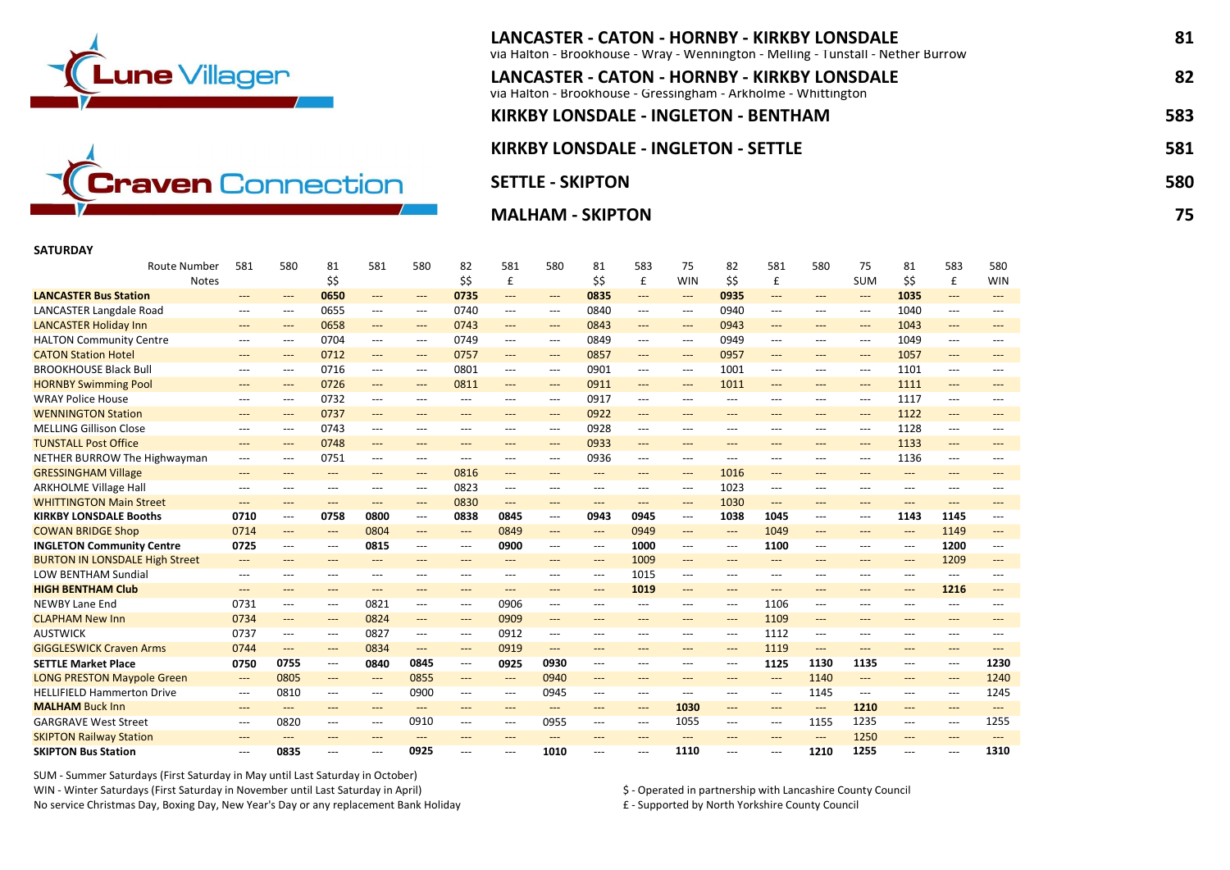



## LANCASTER - CATON - HORNBY - KIRKBY LONSDALE 81 via Halton - Brookhouse - Wray - Wennington - Melling - Tunstall - Nether Burrow LANCASTER - CATON - HORNBY - KIRKBY LONSDALE 82 via Halton - Brookhouse - Gressingham - Arkholme - Whittington KIRKBY LONSDALE - INGLETON - BENTHAM 583 KIRKBY LONSDALE - INGLETON - SETTLE **1998 120 SETTLE** 581 SETTLE - SKIPTON 580 POSTED FOR THE SETTLE - SKIPTON 580 POSTED FOR THE SETTLE - SKIPTON 580 POSTED FOR THE SE MALHAM - SKIPTON 75

## SATURDAY

| <b>Route Number</b><br><b>Notes</b>                        | 581                                               | 580                 | 81<br>\$\$                               | 581                        | 580                                                             | 82<br>\$\$                               | 581<br>£                                        | 580                                      | 81<br>\$\$    | 583<br>£                                                        | 75<br><b>WIN</b>           | 82<br>\$\$                               | 581<br>£            | 580                          | 75<br><b>SUM</b>                                  | 81<br>\$\$                               | 583<br>£                                                           | 580<br>WIN                   |
|------------------------------------------------------------|---------------------------------------------------|---------------------|------------------------------------------|----------------------------|-----------------------------------------------------------------|------------------------------------------|-------------------------------------------------|------------------------------------------|---------------|-----------------------------------------------------------------|----------------------------|------------------------------------------|---------------------|------------------------------|---------------------------------------------------|------------------------------------------|--------------------------------------------------------------------|------------------------------|
| <b>LANCASTER Bus Station</b>                               | ---                                               |                     | 0650                                     |                            |                                                                 | 0735                                     | ---                                             | $\qquad \qquad - -$                      | 0835          | $\qquad \qquad - -$                                             | ---                        | 0935                                     | $---$               |                              | $---$                                             | 1035                                     | $\qquad \qquad - -$                                                | ---                          |
| <b>LANCASTER Langdale Road</b>                             | $---$                                             | $---$<br>$---$      | 0655                                     | ---<br>---                 | $\qquad \qquad - -$<br>$\hspace{0.05cm} \ldots \hspace{0.05cm}$ | 0740                                     | $\hspace{0.05cm} \ldots$                        | $---$                                    | 0840          | $---$                                                           | $---$                      | 0940                                     | $---$               | $---$<br>$---$               | $---$                                             | 1040                                     | $\hspace{0.05cm} \ldots$                                           | ---                          |
| <b>LANCASTER Holiday Inn</b>                               | ---                                               | $---$               | 0658                                     | ---                        | $\qquad \qquad - -$                                             | 0743                                     | $---$                                           | $\qquad \qquad - -$                      | 0843          | $\qquad \qquad - -$                                             | $\qquad \qquad - -$        | 0943                                     | $\qquad \qquad - -$ | $---$                        | $\qquad \qquad \cdots$                            | 1043                                     | $\qquad \qquad \cdots$                                             | $---$                        |
| <b>HALTON Community Centre</b>                             | $\qquad \qquad - -$                               | $---$               | 0704                                     | ---                        | $\hspace{0.05cm} \ldots \hspace{0.05cm}$                        | 0749                                     | $\hspace{0.05cm} \ldots$                        | $\qquad \qquad - -$                      | 0849          | $\hspace{0.05cm} \ldots$                                        | $---$                      | 0949                                     | ---                 | $---$                        | $\qquad \qquad -\qquad -$                         | 1049                                     | $\hspace{0.05cm} \ldots$                                           | ---                          |
| <b>CATON Station Hotel</b>                                 | $---$                                             |                     | 0712                                     | $---$                      |                                                                 | 0757                                     |                                                 |                                          | 0857          |                                                                 |                            | 0957                                     | $---$               | $---$                        | $---$                                             | 1057                                     |                                                                    | ---                          |
| <b>BROOKHOUSE Black Bull</b>                               |                                                   | $---$<br>$---$      | 0716                                     | ---                        | $\qquad \qquad - -$<br>$---$                                    | 0801                                     | $\qquad \qquad - -$<br>$\hspace{0.05cm} \ldots$ | $\qquad \qquad - -$<br>$---$             | 0901          | $\qquad \qquad - -$<br>$\hspace{0.05cm} \ldots \hspace{0.05cm}$ | $\qquad \qquad - -$<br>--- | 1001                                     | $---$               | $---$                        | $---$                                             | 1101                                     | $\qquad \qquad \cdots$<br>$\hspace{0.05cm} \ldots$                 | $---$                        |
| <b>HORNBY Swimming Pool</b>                                | $\hspace{0.05cm} \ldots \hspace{0.05cm}$<br>$---$ | ---                 | 0726                                     | $---$                      | $---$                                                           | 0811                                     | $\qquad \qquad - -$                             | $\qquad \qquad - -$                      | 0911          | $\qquad \qquad - -$                                             | $---$                      | 1011                                     | $---$               | $---$                        | $---$                                             | 1111                                     | $\hspace{0.05cm} \ldots$                                           | $---$                        |
| <b>WRAY Police House</b>                                   |                                                   |                     | 0732                                     |                            |                                                                 | $---$                                    |                                                 |                                          | 0917          |                                                                 |                            | $---$                                    |                     |                              |                                                   | 1117                                     | $---$                                                              |                              |
| <b>WENNINGTON Station</b>                                  | $---$                                             | $---$<br>$---$      | 0737                                     | ---<br>$---$               | $---$<br>$---$                                                  | $---$                                    | $---$                                           | $---$<br>$---$                           | 0922          | $---$<br>$---$                                                  | ---<br>$---$               | $---$                                    | $---$               | $---$                        | $---$<br>$---$                                    | 1122                                     | $---$                                                              | $---$                        |
| <b>MELLING Gillison Close</b>                              | $---$                                             | $---$               | 0743                                     | $\overline{a}$             | $---$                                                           | $---$                                    | $---$                                           | $---$                                    | 0928          | $---$                                                           |                            | $---$                                    | $---$<br>$---$      | $---$                        | $---$                                             | 1128                                     |                                                                    | $---$<br>$\overline{a}$      |
| <b>TUNSTALL Post Office</b>                                | $---$                                             |                     | 0748                                     |                            |                                                                 |                                          | $---$                                           |                                          |               |                                                                 | $---$                      |                                          |                     | $---$                        |                                                   |                                          | $\hspace{0.05cm} \ldots \hspace{0.05cm}$                           |                              |
|                                                            | $\qquad \qquad - -$                               | $---$               | 0751                                     | $\qquad \qquad - -$<br>--- | $\qquad \qquad - -$<br>$---$                                    | $\qquad \qquad - -$<br>---               | $\qquad \qquad - -$                             | $\qquad \qquad - -$<br>$---$             | 0933<br>0936  | $\qquad \qquad - -$                                             | ---                        | $\qquad \qquad \cdots$<br>$---$          | $\qquad \qquad - -$ | $---$<br>---                 | $\qquad \qquad \cdots$<br>$---$                   | 1133<br>1136                             | $\qquad \qquad \cdots$<br>$\hspace{0.05cm} \ldots \hspace{0.05cm}$ | $\qquad \qquad - -$<br>$---$ |
| NETHER BURROW The Highwayman<br><b>GRESSINGHAM Village</b> | ---                                               | ---<br>---          | $\qquad \qquad - -$                      |                            | $\qquad \qquad - -$                                             | 0816                                     | $---$<br>$\qquad \qquad - -$                    | $\qquad \qquad - -$                      | ---           | $\hspace{0.05cm} \ldots$<br>$\qquad \qquad - -$                 | ---<br>$\qquad \qquad - -$ | 1016                                     | $---$<br>$---$      |                              | $\hspace{0.05cm} \ldots$                          | $---$                                    | $\hspace{0.05cm} \ldots$                                           | ---                          |
| <b>ARKHOLME Village Hall</b>                               | $\qquad \qquad - -$                               | $---$               | $---$                                    | ---                        | $---$                                                           | 0823                                     |                                                 |                                          | $---$         |                                                                 |                            | 1023                                     | $---$               | $\qquad \qquad - -$<br>$---$ | $---$                                             | $---$                                    | $---$                                                              | $---$                        |
| <b>WHITTINGTON Main Street</b>                             | $\qquad \qquad - -$<br>$---$                      | $---$               | $---$                                    | ---<br>$---$               | $---$                                                           | 0830                                     | $\hspace{0.05cm} \ldots$                        | $---$<br>$---$                           |               | $---$                                                           | ---                        | 1030                                     | $---$               |                              |                                                   | $---$                                    | $---$                                                              | $---$                        |
| <b>KIRKBY LONSDALE Booths</b>                              | 0710                                              | $---$               | 0758                                     | 0800                       | $\hspace{0.05cm} \ldots \hspace{0.05cm}$                        | 0838                                     | $\qquad \qquad - -$<br>0845                     | $\hspace{0.05cm} \ldots \hspace{0.05cm}$ | $---$<br>0943 | $---$<br>0945                                                   | $---$<br>$---$             | 1038                                     | 1045                | $---$<br>---                 | $---$<br>$\hspace{0.05cm} \ldots \hspace{0.05cm}$ | 1143                                     | 1145                                                               | $---$                        |
| <b>COWAN BRIDGE Shop</b>                                   | 0714                                              | ---                 | $\qquad \qquad - -$                      | 0804                       | $\qquad \qquad - -$                                             | $---$                                    | 0849                                            | $\qquad \qquad - -$                      | $---$         | 0949                                                            | $\qquad \qquad - -$        | $\qquad \qquad - -$                      | 1049                | $\qquad \qquad - -$          | $---$                                             | $\qquad \qquad - -$                      | 1149                                                               | $\qquad \qquad - -$          |
| <b>INGLETON Community Centre</b>                           | 0725                                              | ---                 | $\hspace{0.05cm} \ldots \hspace{0.05cm}$ | 0815                       | $\hspace{0.05cm} \ldots \hspace{0.05cm}$                        | ---                                      | 0900                                            | $\hspace{0.05cm} \ldots \hspace{0.05cm}$ | ---           | 1000                                                            | ---                        | $\hspace{0.05cm} \ldots \hspace{0.05cm}$ | 1100                | $\hspace{0.05cm} \ldots$     | $\hspace{0.05cm} \ldots \hspace{0.05cm}$          | $\hspace{0.05cm} \ldots \hspace{0.05cm}$ | 1200                                                               | ---                          |
| <b>BURTON IN LONSDALE High Street</b>                      | $---$                                             | $---$               | $---$                                    | $---$                      | $---$                                                           | $---$                                    | $---$                                           | $---$                                    | $---$         | 1009                                                            | $---$                      | $---$                                    | $---$               | $---$                        | $---$                                             | $---$                                    | 1209                                                               | $---$                        |
| <b>LOW BENTHAM Sundial</b>                                 | $---$                                             | $---$               | $---$                                    | $---$                      | $---$                                                           | $---$                                    | $---$                                           | $---$                                    | $---$         | 1015                                                            | ---                        | $---$                                    | $---$               | $---$                        | $---$                                             | $---$                                    | $---$                                                              | $---$                        |
| <b>HIGH BENTHAM Club</b>                                   | $---$                                             | $---$               | $---$                                    | $---$                      | $---$                                                           | $---$                                    | $---$                                           | $---$                                    | $---$         | 1019                                                            | $---$                      | $---$                                    | $---$               | $---$                        | $---$                                             | $---$                                    | 1216                                                               | $---$                        |
| <b>NEWBY Lane End</b>                                      | 0731                                              | ---                 | $\hspace{0.05cm} \ldots$                 | 0821                       | $\hspace{0.05cm} \ldots \hspace{0.05cm}$                        | $---$                                    | 0906                                            | $\hspace{0.05cm} \ldots$                 | $---$         | $\hspace{0.05cm} \ldots$                                        | ---                        | $\hspace{0.05cm} \ldots$                 | 1106                | $---$                        | $---$                                             | ---                                      | $\hspace{0.05cm} \ldots \hspace{0.05cm}$                           | ---                          |
| <b>CLAPHAM New Inn</b>                                     | 0734                                              | $---$               | $\qquad \qquad - -$                      | 0824                       | $---$                                                           | $\qquad \qquad - -$                      | 0909                                            | $\qquad \qquad - -$                      | ---           | $---$                                                           | $---$                      | $---$                                    | 1109                | $\qquad \qquad - -$          | $---$                                             | $---$                                    | $\qquad \qquad \cdots$                                             | ---                          |
| <b>AUSTWICK</b>                                            | 0737                                              | $---$               | $\hspace{0.05cm} \ldots \hspace{0.05cm}$ | 0827                       | $\hspace{0.05cm} \ldots \hspace{0.05cm}$                        | $---$                                    | 0912                                            | $\hspace{0.05cm} \ldots \hspace{0.05cm}$ | $---$         | $---$                                                           | ---                        | $---$                                    | 1112                | $\hspace{0.05cm} \ldots$     | $---$                                             | ---                                      | $\hspace{0.05cm} \ldots$                                           | ---                          |
| <b>GIGGLESWICK Craven Arms</b>                             | 0744                                              | $\qquad \qquad - -$ | $\qquad \qquad - -$                      | 0834                       | $---$                                                           | $\qquad \qquad - -$                      | 0919                                            | $\qquad \qquad - -$                      | ---           | $\qquad \qquad - -$                                             | ---                        | $\qquad \qquad - -$                      | 1119                | $---$                        | $\qquad \qquad \cdots$                            | ---                                      | $\qquad \qquad \cdots$                                             | $---$                        |
| <b>SETTLE Market Place</b>                                 | 0750                                              | 0755                | $\hspace{0.05cm} \ldots \hspace{0.05cm}$ | 0840                       | 0845                                                            | $---$                                    | 0925                                            | 0930                                     | ---           | $\hspace{0.05cm} \ldots \hspace{0.05cm}$                        | ---                        | $\hspace{0.05cm} \ldots$                 | 1125                | 1130                         | 1135                                              | ---                                      | $\hspace{0.05cm} \ldots$                                           | 1230                         |
| <b>LONG PRESTON Maypole Green</b>                          | $\qquad \qquad - -$                               | 0805                | $---$                                    | $\qquad \qquad \cdots$     | 0855                                                            | $---$                                    | $\qquad \qquad - -$                             | 0940                                     | $---$         | $---$                                                           | $---$                      | $---$                                    | $---$               | 1140                         | $---$                                             | $---$                                    | $\qquad \qquad \textbf{---}$                                       | 1240                         |
| <b>HELLIFIELD Hammerton Drive</b>                          | $\qquad \qquad - -$                               | 0810                | $\hspace{0.05cm} \ldots$                 | ---                        | 0900                                                            | $\hspace{0.05cm} \ldots \hspace{0.05cm}$ | $\hspace{0.05cm} \ldots$                        | 0945                                     | ---           | $\hspace{0.05cm} \ldots$                                        | ---                        | $---$                                    | $---$               | 1145                         | $---$                                             | ---                                      | $\hspace{0.05cm} \ldots$                                           | 1245                         |
| <b>MALHAM Buck Inn</b>                                     | $\qquad \qquad \cdots$                            | $---$               | $---$                                    | ---                        | $---$                                                           | $---$                                    | $---$                                           | $\qquad \qquad - -$                      | $---$         | $\hspace{0.05cm} \ldots \hspace{0.05cm}$                        | 1030                       | $\qquad \qquad \textbf{---}$             | $\qquad \qquad - -$ | ---                          | 1210                                              | $---$                                    | $\hspace{0.05cm} \ldots \hspace{0.05cm}$                           | $---$                        |
| <b>GARGRAVE West Street</b>                                | $---$                                             | 0820                | $---$                                    | $\overline{a}$             | 0910                                                            | $---$                                    | $---$                                           | 0955                                     | $---$         | $\hspace{0.05cm} \ldots$                                        | 1055                       | $---$                                    | $---$               | 1155                         | 1235                                              | ---                                      | $\hspace{0.05cm} \ldots \hspace{0.05cm}$                           | 1255                         |
| <b>SKIPTON Railway Station</b>                             | $\qquad \qquad \cdots$                            | $---$               | $---$                                    | $---$                      | $---$                                                           | $---$                                    | $---$                                           | $---$                                    | ---           | $---$                                                           | $---$                      | ---                                      | $---$               | ---                          | 1250                                              | $---$                                    | $---$                                                              | $---$                        |
| <b>SKIPTON Bus Station</b>                                 | $---$                                             | 0835                | $---$                                    | $\overline{a}$             | 0925                                                            | ---                                      | $---$                                           | 1010                                     | ---           | $---$                                                           | 1110                       | $---$                                    | $---$               | 1210                         | 1255                                              | $---$                                    | $---$                                                              | 1310                         |
|                                                            |                                                   |                     |                                          |                            |                                                                 |                                          |                                                 |                                          |               |                                                                 |                            |                                          |                     |                              |                                                   |                                          |                                                                    |                              |

SUM - Summer Saturdays (First Saturday in May until Last Saturday in October) WIN - Winter Saturdays (First Saturday in November until Last Saturday in April) \$ - Operated in partnership with Lancashire County Council No service Christmas Day, Boxing Day, New Year's Day or any replacement Bank Holiday **E** - Supported by North Yorkshire County Council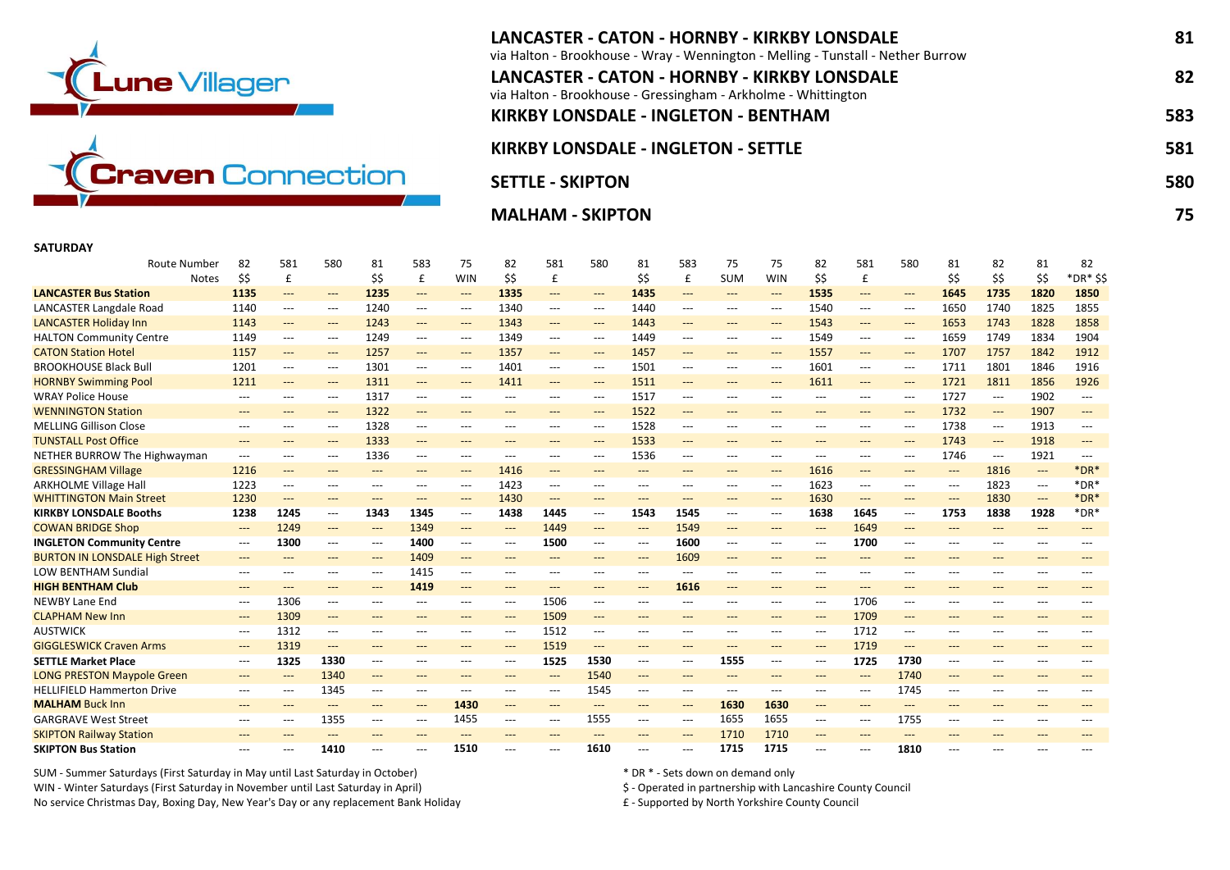



| LANCASTER - CATON - HORNBY - KIRKBY LONSDALE<br>via Halton - Brookhouse - Wray - Wennington - Melling - Tunstall - Nether Burrow | 81  |
|----------------------------------------------------------------------------------------------------------------------------------|-----|
| LANCASTER - CATON - HORNBY - KIRKBY LONSDALE<br>via Halton - Brookhouse - Gressingham - Arkholme - Whittington                   | 82  |
| <b>KIRKBY LONSDALE - INGLETON - BENTHAM</b>                                                                                      | 583 |
| <b>KIRKBY LONSDALE - INGLETON - SETTLE</b>                                                                                       | 581 |
| <b>SETTLE - SKIPTON</b>                                                                                                          | 580 |
| <b>MALHAM - SKIPTON</b>                                                                                                          | 75. |

## **SATURDAY**

| <b>Route Number</b>                   | 82                                       | 581                                      | 580                                      | 81                                       | 583                                      | 75                                       | 82                                       | 581   | 580                                      | 81    | 583                                      | 75                           | 75                                       | 82                       | 581                                      | 580                                      | 81                                       | 82    | 81    | 82                     |
|---------------------------------------|------------------------------------------|------------------------------------------|------------------------------------------|------------------------------------------|------------------------------------------|------------------------------------------|------------------------------------------|-------|------------------------------------------|-------|------------------------------------------|------------------------------|------------------------------------------|--------------------------|------------------------------------------|------------------------------------------|------------------------------------------|-------|-------|------------------------|
| <b>Notes</b>                          | \$\$                                     | £                                        |                                          | \$\$                                     | £                                        | <b>WIN</b>                               | \$\$                                     | £     |                                          | \$\$  | £                                        | <b>SUM</b>                   | WIN                                      | \$\$                     | £                                        |                                          | \$\$                                     | \$\$  | \$\$  | *DR* \$\$              |
| <b>LANCASTER Bus Station</b>          | 1135                                     | ---                                      | $\qquad \qquad - -$                      | 1235                                     | $\qquad \qquad - -$                      | $\qquad \qquad - -$                      | 1335                                     | ---   | $\qquad \qquad \cdots$                   | 1435  | $---$                                    | $\qquad \qquad - -$          | $\qquad \qquad - -$                      | 1535                     | $\qquad \qquad - -$                      | $\qquad \qquad - -$                      | 1645                                     | 1735  | 1820  | 1850                   |
| LANCASTER Langdale Road               | 1140                                     | ---                                      | $\hspace{0.05cm} \ldots$                 | 1240                                     | $\hspace{0.05cm} \ldots \hspace{0.05cm}$ | $\hspace{0.05cm} \ldots \hspace{0.05cm}$ | 1340                                     | $---$ | $\hspace{0.05cm} \ldots \hspace{0.05cm}$ | 1440  | $\hspace{0.05cm} \ldots \hspace{0.05cm}$ | $\hspace{0.05cm} \ldots$     | $\hspace{0.05cm} \ldots \hspace{0.05cm}$ | 1540                     | $\qquad \qquad - -$                      | ---                                      | 1650                                     | 1740  | 1825  | 1855                   |
| <b>LANCASTER Holiday Inn</b>          | 1143                                     | $---$                                    | $\qquad \qquad - -$                      | 1243                                     | $---$                                    | $\hspace{0.05cm} \ldots$                 | 1343                                     | $---$ | $\qquad \qquad \cdots$                   | 1443  | $---$                                    | $\qquad \qquad - -$          | $---$                                    | 1543                     | $\qquad \qquad - -$                      | $\qquad \qquad - -$                      | 1653                                     | 1743  | 1828  | 1858                   |
| <b>HALTON Community Centre</b>        | 1149                                     | $\hspace{0.05cm} \ldots \hspace{0.05cm}$ | $\hspace{0.05cm} \ldots$                 | 1249                                     | ---                                      | $\hspace{0.05cm} \ldots \hspace{0.05cm}$ | 1349                                     | $---$ | $---$                                    | 1449  | $\qquad \qquad - -$                      | $\hspace{0.05cm} \ldots$     | $\hspace{0.05cm} \ldots$                 | 1549                     | $\hspace{0.05cm} \ldots$                 | $---$                                    | 1659                                     | 1749  | 1834  | 1904                   |
| <b>CATON Station Hotel</b>            | 1157                                     | ---                                      | $---$                                    | 1257                                     | $\qquad \qquad - -$                      | $---$                                    | 1357                                     | $---$ | $\hspace{0.05cm} \ldots \hspace{0.05cm}$ | 1457  | $---$                                    | $\qquad \qquad \textbf{---}$ | $---$                                    | 1557                     | $---$                                    | $\qquad \qquad \textbf{---}$             | 1707                                     | 1757  | 1842  | 1912                   |
| <b>BROOKHOUSE Black Bull</b>          | 1201                                     | ---                                      | $\hspace{0.05cm} \ldots \hspace{0.05cm}$ | 1301                                     | $---$                                    | $\hspace{0.05cm} \ldots \hspace{0.05cm}$ | 1401                                     | ---   | $---$                                    | 1501  | $---$                                    | $---$                        | $\qquad \qquad - -$                      | 1601                     | $\hspace{0.05cm} \ldots \hspace{0.05cm}$ | $---$                                    | 1711                                     | 1801  | 1846  | 1916                   |
| <b>HORNBY Swimming Pool</b>           | 1211                                     | ---                                      | $---$                                    | 1311                                     | $\qquad \qquad - -$                      | $---$                                    | 1411                                     | $---$ | $\hspace{0.05cm} \ldots$                 | 1511  | $\qquad \qquad - -$                      | $---$                        | ---                                      | 1611                     | $\qquad \qquad - -$                      | $\qquad \qquad - -$                      | 1721                                     | 1811  | 1856  | 1926                   |
| <b>WRAY Police House</b>              | $\hspace{0.05cm} \ldots$                 | ---                                      | $\hspace{0.05cm} \ldots \hspace{0.05cm}$ | 1317                                     | $---$                                    | $---$                                    | ---                                      | $---$ | $---$                                    | 1517  | $---$                                    | $---$                        | $---$                                    | $---$                    | $---$                                    | ---                                      | 1727                                     | ---   | 1902  | $---$                  |
| <b>WENNINGTON Station</b>             | $---$                                    | $---$                                    | $---$                                    | 1322                                     | $---$                                    | $---$                                    | ---                                      | $---$ | $---$                                    | 1522  | $---$                                    | $---$                        | $---$                                    | $---$                    | $---$                                    | $---$                                    | 1732                                     | $---$ | 1907  | $---$                  |
| <b>MELLING Gillison Close</b>         | $---$                                    | ---                                      | $---$                                    | 1328                                     | $---$                                    | $---$                                    | ---                                      | $---$ | $---$                                    | 1528  | $---$                                    | $---$                        | $---$                                    | $---$                    | $---$                                    | $---$                                    | 1738                                     | ---   | 1913  | $---$                  |
| <b>TUNSTALL Post Office</b>           | $---$                                    | ---                                      | $\qquad \qquad - -$                      | 1333                                     | $\qquad \qquad - -$                      | $---$                                    | ---                                      | $---$ | $\hspace{0.05cm} \ldots \hspace{0.05cm}$ | 1533  | $\qquad \qquad \cdots$                   | $\qquad \qquad - -$          | ---                                      | $---$                    | $\qquad \qquad - -$                      | $\qquad \qquad - -$                      | 1743                                     | ---   | 1918  | $---$                  |
| NETHER BURROW The Highwayman          | $---$                                    | ---                                      | $\hspace{0.05cm} \ldots$                 | 1336                                     | $---$                                    | $\hspace{0.05cm} \ldots \hspace{0.05cm}$ | ---                                      | ---   | $\hspace{0.05cm} \ldots$                 | 1536  | $---$                                    | $---$                        | ---                                      | $---$                    | ---                                      | $---$                                    | 1746                                     | ---   | 1921  | $---$                  |
| <b>GRESSINGHAM Village</b>            | 1216                                     | $\hspace{0.05cm} \ldots$                 | $---$                                    | $---$                                    | $---$                                    | $---$                                    | 1416                                     | $---$ | $---$                                    | ---   | $---$                                    | $\qquad \qquad - -$          | $---$                                    | 1616                     | $---$                                    | $\qquad \qquad - -$                      | $\hspace{0.05cm} \ldots$                 | 1816  | $---$ | $*$ DR $*$             |
| <b>ARKHOLME Village Hall</b>          | 1223                                     | ---                                      | $---$                                    | $\hspace{0.05cm} \ldots$                 | $---$                                    | $\hspace{0.05cm} \ldots \hspace{0.05cm}$ | 1423                                     | ---   | $---$                                    | $---$ | $---$                                    | $---$                        | $\hspace{0.05cm} \ldots \hspace{0.05cm}$ | 1623                     | $\hspace{0.05cm} \ldots \hspace{0.05cm}$ | $---$                                    | $\hspace{0.05cm} \ldots \hspace{0.05cm}$ | 1823  | $---$ | $*$ DR $*$             |
| <b>WHITTINGTON Main Street</b>        | 1230                                     | ---                                      | $---$                                    | $---$                                    | $---$                                    | $\qquad \qquad - -$                      | 1430                                     | ---   | $---$                                    | $---$ | $---$                                    | $---$                        | $---$                                    | 1630                     | $\qquad \qquad - -$                      | $\qquad \qquad - -$                      | $\qquad \qquad - -$                      | 1830  | ---   | $*$ DR $*$             |
| <b>KIRKBY LONSDALE Booths</b>         | 1238                                     | 1245                                     | $\hspace{0.05cm} \ldots \hspace{0.05cm}$ | 1343                                     | 1345                                     | $\hspace{0.05cm} \ldots \hspace{0.05cm}$ | 1438                                     | 1445  | $\hspace{0.05cm} \ldots \hspace{0.05cm}$ | 1543  | 1545                                     | ---                          | $\hspace{0.05cm} \ldots \hspace{0.05cm}$ | 1638                     | 1645                                     | $\hspace{0.05cm} \ldots \hspace{0.05cm}$ | 1753                                     | 1838  | 1928  | $*$ DR $*$             |
| <b>COWAN BRIDGE Shop</b>              | $\hspace{0.05cm} \dashrightarrow$        | 1249                                     | $\qquad \qquad - -$                      | $\qquad \qquad \cdots$                   | 1349                                     | $---$                                    | $\qquad \qquad - -$                      | 1449  | $---$                                    | ---   | 1549                                     | $\qquad \qquad - -$          | ---                                      | $\qquad \qquad - -$      | 1649                                     | $\qquad \qquad - -$                      | $---$                                    | ---   | $---$ | $\qquad \qquad \cdots$ |
| <b>INGLETON Community Centre</b>      | $---$                                    | 1300                                     | $\hspace{0.05cm} \ldots$                 | $\hspace{0.05cm} \ldots \hspace{0.05cm}$ | 1400                                     | $\hspace{0.05cm} \ldots \hspace{0.05cm}$ | $\hspace{0.05cm} \ldots \hspace{0.05cm}$ | 1500  | $\hspace{0.05cm} \ldots \hspace{0.05cm}$ | ---   | 1600                                     | $---$                        | $\hspace{0.05cm} \ldots \hspace{0.05cm}$ | $---$                    | 1700                                     | ---                                      | $---$                                    | ---   | $---$ | $---$                  |
| <b>BURTON IN LONSDALE High Street</b> | $---$                                    | ---                                      | $---$                                    | $\qquad \qquad \cdots$                   | 1409                                     | $\qquad \qquad - -$                      | ---                                      | $---$ | $---$                                    | $---$ | 1609                                     | $---$                        | ---                                      | $---$                    | $---$                                    | $---$                                    | $---$                                    | ---   | $---$ | $---$                  |
| <b>LOW BENTHAM Sundial</b>            | $---$                                    | $---$                                    | $---$                                    | $---$                                    | 1415                                     | $---$                                    | $---$                                    | $---$ | $---$                                    | $---$ | $---$                                    | $---$                        | $---$                                    | $---$                    | $---$                                    | $---$                                    | $---$                                    | ---   | $---$ | $---$                  |
| <b>HIGH BENTHAM Club</b>              | $---$                                    | $---$                                    | $---$                                    | $---$                                    | 1419                                     | $---$                                    | $---$                                    | $---$ | $---$                                    | $---$ | 1616                                     | $---$                        | ---                                      | $---$                    | $---$                                    | $---$                                    | $---$                                    | ---   | $---$ | $---$                  |
| <b>NEWBY Lane End</b>                 | $\qquad \qquad -\qquad -$                | 1306                                     | $---$                                    | $---$                                    | $---$                                    | $---$                                    | ---                                      | 1506  | $\hspace{0.05cm} \ldots \hspace{0.05cm}$ | $---$ | $\qquad \qquad - -$                      | $---$                        | $---$                                    | $\hspace{0.05cm} \ldots$ | 1706                                     | $---$                                    | $---$                                    | ---   | $---$ | $---$                  |
| <b>CLAPHAM New Inn</b>                | $---$                                    | 1309                                     | $---$                                    | $---$                                    | $---$                                    | $---$                                    | $\qquad \qquad - -$                      | 1509  | $---$                                    | $---$ | $---$                                    | $---$                        | $---$                                    | $\qquad \qquad - -$      | 1709                                     | $---$                                    | $---$                                    | ---   | $---$ | $---$                  |
| <b>AUSTWICK</b>                       | $\qquad \qquad -\qquad -$                | 1312                                     | $---$                                    | $---$                                    | $---$                                    | $---$                                    | $---$                                    | 1512  | $---$                                    | $---$ | $---$                                    | $---$                        | ---                                      | $---$                    | 1712                                     | $---$                                    | $---$                                    | ---   | $---$ | ---                    |
| <b>GIGGLESWICK Craven Arms</b>        | $\qquad \qquad - -$                      | 1319                                     | $---$                                    | $---$                                    | $---$                                    | $---$                                    | $\qquad \qquad - -$                      | 1519  | $---$                                    | $---$ | $---$                                    | $---$                        | $---$                                    | $---$                    | 1719                                     | $---$                                    | $---$                                    | ---   | $---$ | $\qquad \qquad \cdots$ |
| <b>SETTLE Market Place</b>            | $\hspace{0.05cm} \ldots \hspace{0.05cm}$ | 1325                                     | 1330                                     | ---                                      | ---                                      | ---                                      | ---                                      | 1525  | 1530                                     | ---   | $---$                                    | 1555                         | ---                                      | $\hspace{0.05cm} \ldots$ | 1725                                     | 1730                                     | ---                                      | ---   | ---   |                        |
| <b>LONG PRESTON Maypole Green</b>     | $\qquad \qquad - -$                      | ---                                      | 1340                                     | $---$                                    | $---$                                    | $---$                                    | $---$                                    | ---   | 1540                                     | ---   | $---$                                    | $---$                        | $---$                                    | $---$                    | $\hspace{0.05cm} \ldots$                 | 1740                                     | $---$                                    | ---   | $---$ | $---$                  |
| <b>HELLIFIELD Hammerton Drive</b>     | $---$                                    | ---                                      | 1345                                     | $\hspace{0.05cm} \ldots$                 | $---$                                    | $\qquad \qquad - -$                      | $---$                                    | $---$ | 1545                                     | $---$ | $---$                                    | $---$                        | ---                                      | $---$                    | $\hspace{0.05cm} \ldots \hspace{0.05cm}$ | 1745                                     | $---$                                    | ---   | $---$ |                        |
| <b>MALHAM Buck Inn</b>                | $---$                                    | $---$                                    | $---$                                    | $---$                                    | $\qquad \qquad - -$                      | 1430                                     | $\qquad \qquad - -$                      | $---$ | $---$                                    | $---$ | $\qquad \qquad - -$                      | 1630                         | 1630                                     | $---$                    | $---$                                    | $---$                                    | $---$                                    | ---   | $---$ | $---$                  |
| <b>GARGRAVE West Street</b>           | $---$                                    | ---                                      | 1355                                     | ---                                      | $---$                                    | 1455                                     | $---$                                    | $---$ | 1555                                     | $---$ | $---$                                    | 1655                         | 1655                                     | $---$                    | $---$                                    | 1755                                     | ---                                      | ---   | $---$ | $---$                  |
| <b>SKIPTON Railway Station</b>        | $---$                                    | ---                                      | $---$                                    | $---$                                    | $---$                                    | $---$                                    | ---                                      | $---$ | $---$                                    | $---$ | $---$                                    | 1710                         | 1710                                     | $---$                    | $---$                                    | $---$                                    | $---$                                    | ---   | $---$ | $---$                  |
| <b>SKIPTON Bus Station</b>            | ---                                      | ---                                      | 1410                                     | $---$                                    | ---                                      | 1510                                     | ---                                      | $---$ | 1610                                     | ---   | ---                                      | 1715                         | 1715                                     | $---$                    | ---                                      | 1810                                     | ---                                      |       | $---$ |                        |

SUM - Summer Saturdays (First Saturday in May until Last Saturday in October) \* DR \* - Sets down on demand only WIN - Winter Saturdays (First Saturday in November until Last Saturday in April) \$ - Operated in partnership with Lancashire County Council No service Christmas Day, Boxing Day, New Year's Day or any replacement Bank Holiday £ - Supported by North Yorkshire County Council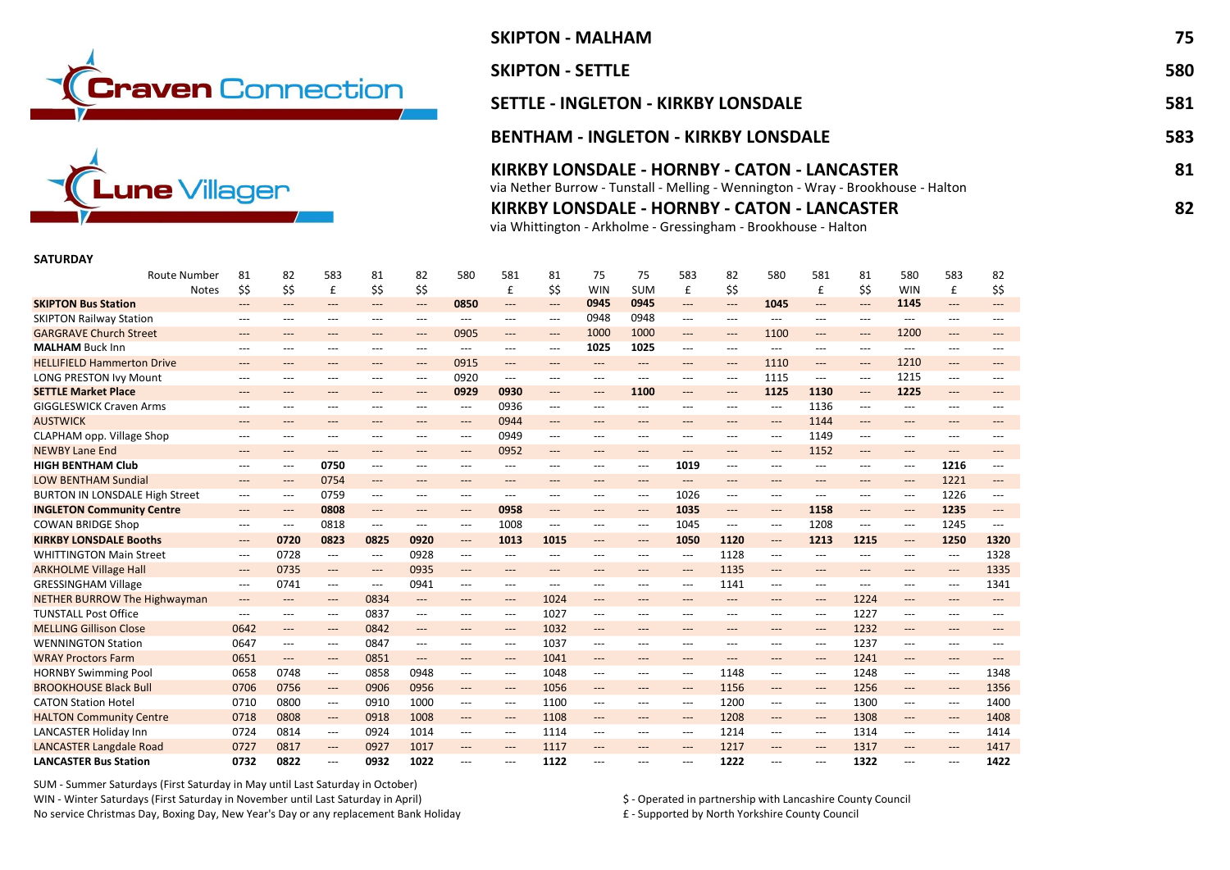



# SKIPTON - MALHAM 75 **SKIPTON - SETTLE** 580 SETTLE - INGLETON - KIRKBY LONSDALE 581 BENTHAM - INGLETON - KIRKBY LONSDALE 583 KIRKBY LONSDALE - HORNBY - CATON - LANCASTER 81 via Nether Burrow - Tunstall - Melling - Wennington - Wray - Brookhouse - Halton

KIRKBY LONSDALE - HORNBY - CATON - LANCASTER 82

via Whittington - Arkholme - Gressingham - Brookhouse - Halton

### SATURDAY

| <b>Route Number</b>                   | 81                                       | 82                       | 583                                      | 81                        | 82                                       | 580                 | 581                                      | 81             | 75                       | 75                  | 583                                      | 82                                       | 580                 | 581                                      | 81             | 580                                      | 583                                      | 82    |
|---------------------------------------|------------------------------------------|--------------------------|------------------------------------------|---------------------------|------------------------------------------|---------------------|------------------------------------------|----------------|--------------------------|---------------------|------------------------------------------|------------------------------------------|---------------------|------------------------------------------|----------------|------------------------------------------|------------------------------------------|-------|
| <b>Notes</b>                          | \$\$                                     | \$\$                     | £                                        | \$\$                      | \$\$                                     |                     | £                                        | \$\$           | <b>WIN</b>               | <b>SUM</b>          | £                                        | \$\$                                     |                     | £                                        | \$\$           | <b>WIN</b>                               | £                                        | \$\$  |
| <b>SKIPTON Bus Station</b>            | ---                                      | $---$                    | $---$                                    | ---                       | $\hspace{0.05cm} \ldots$                 | 0850                | $\qquad \qquad - -$                      | ---            | 0945                     | 0945                | $---$                                    | $\qquad \qquad - -$                      | 1045                | $---$                                    | ---            | 1145                                     | $\qquad \qquad - -$                      | ---   |
| <b>SKIPTON Railway Station</b>        | ---                                      | $---$                    | $---$                                    | ---                       | $\qquad \qquad - -$                      | $---$               | $---$                                    | ---            | 0948                     | 0948                | $---$                                    | $---$                                    | $---$               | $---$                                    | $\overline{a}$ | $---$                                    | $---$                                    | $---$ |
| <b>GARGRAVE Church Street</b>         | ---                                      | ---                      | ---                                      | ---                       | $\hspace{0.05cm} \ldots$                 | 0905                | $\qquad \qquad - -$                      | ---            | 1000                     | 1000                | ---                                      | $\qquad \qquad - -$                      | 1100                | $\qquad \qquad - -$                      | ---            | 1200                                     | $\qquad \qquad - -$                      | ---   |
| <b>MALHAM Buck Inn</b>                | ---                                      | $---$                    | $---$                                    | $---$                     | $---$                                    | $---$               | $\hspace{0.05cm} \ldots \hspace{0.05cm}$ | $\overline{a}$ | 1025                     | 1025                | $---$                                    | $---$                                    | $---$               | $---$                                    | $\overline{a}$ | $---$                                    | $---$                                    | ---   |
| <b>HELLIFIELD Hammerton Drive</b>     | ---                                      | $---$                    | $---$                                    | $---$                     | $---$                                    | 0915                | $\qquad \qquad - -$                      | $---$          | $---$                    | $---$               | $---$                                    | $---$                                    | 1110                | $---$                                    | $---$          | 1210                                     | $---$                                    | ---   |
| LONG PRESTON Ivy Mount                | $---$                                    | $---$                    | $---$                                    | ---                       | $---$                                    | 0920                | $---$                                    | ---            | $---$                    | $---$               | $---$                                    | $---$                                    | 1115                | $---$                                    | $\overline{a}$ | 1215                                     | $---$                                    | ---   |
| <b>SETTLE Market Place</b>            | ---                                      | $\hspace{0.05cm} \ldots$ | $\qquad \qquad - -$                      | ---                       | $\hspace{0.05cm} \ldots$                 | 0929                | 0930                                     | $---$          | $\hspace{0.05cm} \ldots$ | 1100                | ---                                      | $\qquad \qquad - -$                      | 1125                | 1130                                     | ---            | 1225                                     | $---$                                    | ---   |
| <b>GIGGLESWICK Craven Arms</b>        | ---                                      | $---$                    | $---$                                    | ---                       | ---                                      | $---$               | 0936                                     | ---            | $---$                    | $---$               | ---                                      | ---                                      | ---                 | 1136                                     | ---            | $---$                                    | ---                                      | ---   |
| <b>AUSTWICK</b>                       | $---$                                    | $---$                    | $---$                                    | $---$                     | $---$                                    | $---$               | 0944                                     | $---$          | $---$                    | $---$               | $---$                                    | $---$                                    | $---$               | 1144                                     | $---$          | $---$                                    | $---$                                    | ---   |
| CLAPHAM opp. Village Shop             | ---                                      | $---$                    | $---$                                    | ---                       | $\qquad \qquad -\qquad -$                | $---$               | 0949                                     | ---            | $---$                    | ---                 | ---                                      | $\qquad \qquad - -$                      | $---$               | 1149                                     | ---            | $---$                                    | ---                                      | ---   |
| <b>NEWBY Lane End</b>                 | ---                                      | $---$                    | $\qquad \qquad - -$                      | ---                       | ---                                      | $\qquad \qquad - -$ | 0952                                     | ---            | ---                      | $---$               | ---                                      | $---$                                    | $---$               | 1152                                     | $---$          | $\hspace{0.05cm} \ldots$                 | $\qquad \qquad - -$                      | ---   |
| <b>HIGH BENTHAM Club</b>              | ---                                      | $---$                    | 0750                                     | ---                       | ---                                      | ---                 | ---                                      | ---            | ---                      | ---                 | 1019                                     | $\hspace{0.05cm} \ldots \hspace{0.05cm}$ | $---$               | ---                                      | ---            | $\hspace{0.05cm} \ldots \hspace{0.05cm}$ | 1216                                     | ---   |
| <b>LOW BENTHAM Sundial</b>            | $---$                                    | $---$                    | 0754                                     | $---$                     | $---$                                    | $---$               | $---$                                    | $---$          | $---$                    | $---$               | $---$                                    | $---$                                    | $---$               | $---$                                    | $---$          | $---$                                    | 1221                                     | $---$ |
| <b>BURTON IN LONSDALE High Street</b> | $\hspace{0.05cm} \ldots$                 | $\hspace{0.05cm} \ldots$ | 0759                                     | ---                       | $\hspace{0.05cm} \ldots \hspace{0.05cm}$ | ---                 | $\hspace{0.05cm} \ldots \hspace{0.05cm}$ | ---            | ---                      | ---                 | 1026                                     | $---$                                    | ---                 | $\hspace{0.05cm} \ldots \hspace{0.05cm}$ | ---            | $\hspace{0.05cm} \ldots$                 | 1226                                     | ---   |
| <b>INGLETON Community Centre</b>      | ---                                      | $---$                    | 0808                                     | ---                       | $---$                                    | $---$               | 0958                                     | ---            | $---$                    | $---$               | 1035                                     | $---$                                    | $---$               | 1158                                     | $---$          | $\hspace{0.05cm} \ldots$                 | 1235                                     | ---   |
| <b>COWAN BRIDGE Shop</b>              | ---                                      | $---$                    | 0818                                     | ---                       | $---$                                    | $---$               | 1008                                     | ---            | $---$                    | $---$               | 1045                                     | $---$                                    | $---$               | 1208                                     | ---            | $---$                                    | 1245                                     | $---$ |
| <b>KIRKBY LONSDALE Booths</b>         | $\hspace{0.05cm} \ldots \hspace{0.05cm}$ | 0720                     | 0823                                     | 0825                      | 0920                                     | $---$               | 1013                                     | 1015           | $---$                    | $\qquad \qquad - -$ | 1050                                     | 1120                                     | ---                 | 1213                                     | 1215           | $\hspace{0.05cm} \ldots \hspace{0.05cm}$ | 1250                                     | 1320  |
| <b>WHITTINGTON Main Street</b>        | $\hspace{0.05cm} \ldots$                 | 0728                     | $---$                                    | $---$                     | 0928                                     | $---$               | $---$                                    | ---            | $---$                    | $---$               | $\hspace{0.05cm} \ldots \hspace{0.05cm}$ | 1128                                     | ---                 | $---$                                    | $\overline{a}$ | $---$                                    | ---                                      | 1328  |
| <b>ARKHOLME Village Hall</b>          | $\hspace{0.05cm} \ldots$                 | 0735                     | $---$                                    | ---                       | 0935                                     | ---                 | $---$                                    | $---$          | ---                      | $---$               | ---                                      | 1135                                     | $---$               | $---$                                    | $---$          | $---$                                    | $\qquad \qquad - -$                      | 1335  |
| <b>GRESSINGHAM Village</b>            | $\hspace{0.05cm} \ldots$                 | 0741                     | ---                                      | $\qquad \qquad -\qquad -$ | 0941                                     | ---                 | $\hspace{0.05cm} \ldots$                 | ---            | $---$                    | ---                 | $\hspace{0.05cm} \ldots$                 | 1141                                     | $---$               | $\hspace{0.05cm} \ldots$                 | ---            | $---$                                    | ---                                      | 1341  |
| <b>NETHER BURROW The Highwayman</b>   | ---                                      | $\hspace{0.05cm} \ldots$ | $\qquad \qquad - -$                      | 0834                      | $---$                                    | ---                 | $\hspace{0.05cm} \dashrightarrow$        | 1024           | $\hspace{0.05cm} \ldots$ | $---$               | ---                                      | $\qquad \qquad - -$                      | ---                 | $---$                                    | 1224           | $\hspace{0.05cm} \ldots$                 | $\hspace{0.05cm} \ldots \hspace{0.05cm}$ | $---$ |
| <b>TUNSTALL Post Office</b>           | ---                                      | $---$                    | $---$                                    | 0837                      | $\hspace{0.05cm} \ldots \hspace{0.05cm}$ | ---                 | $\hspace{0.05cm} \ldots$                 | 1027           | ---                      | ---                 | $---$                                    | $---$                                    | ---                 | ---                                      | 1227           | $---$                                    | $\hspace{0.05cm} \ldots \hspace{0.05cm}$ | ---   |
| <b>MELLING Gillison Close</b>         | 0642                                     | $\hspace{0.05cm} \ldots$ | $---$                                    | 0842                      | $\qquad \qquad - -$                      | $\qquad \qquad - -$ | $\hspace{0.05cm} \dashrightarrow$        | 1032           | $\hspace{0.05cm} \ldots$ | $---$               | ---                                      | $---$                                    | $---$               | $\hspace{0.05cm} \dashrightarrow$        | 1232           | $\hspace{0.05cm} \ldots$                 | $\hspace{0.05cm} \ldots \hspace{0.05cm}$ | ---   |
| <b>WENNINGTON Station</b>             | 0647                                     | $---$                    | ---                                      | 0847                      | $---$                                    | $---$               | $\hspace{0.05cm} \ldots$                 | 1037           | $---$                    | ---                 | $---$                                    | $---$                                    | ---                 | $\hspace{0.05cm} \ldots \hspace{0.05cm}$ | 1237           | $---$                                    | ---                                      | $---$ |
| <b>WRAY Proctors Farm</b>             | 0651                                     | $\hspace{0.05cm} \ldots$ | $---$                                    | 0851                      | $\qquad \qquad - -$                      | $---$               | $\qquad \qquad - -$                      | 1041           | $\qquad \qquad - -$      | $---$               | $\hspace{0.05cm} \ldots$                 | $\qquad \qquad - -$                      | $---$               | $\qquad \qquad - -$                      | 1241           | $\hspace{0.05cm} \ldots$                 | $---$                                    | $---$ |
| <b>HORNBY Swimming Pool</b>           | 0658                                     | 0748                     | $\hspace{0.05cm} \ldots \hspace{0.05cm}$ | 0858                      | 0948                                     | $---$               | $\hspace{0.05cm} \ldots$                 | 1048           | $---$                    | $---$               | $---$                                    | 1148                                     | $---$               | $---$                                    | 1248           | $---$                                    | ---                                      | 1348  |
| <b>BROOKHOUSE Black Bull</b>          | 0706                                     | 0756                     | $---$                                    | 0906                      | 0956                                     | $---$               | $\qquad \qquad - -$                      | 1056           | $\hspace{0.05cm} \ldots$ | $---$               | $\hspace{0.05cm} \ldots$                 | 1156                                     | $---$               | $\hspace{0.05cm} \ldots$                 | 1256           | $\hspace{0.05cm} \ldots$                 | $\qquad \qquad - -$                      | 1356  |
| <b>CATON Station Hotel</b>            | 0710                                     | 0800                     | ---                                      | 0910                      | 1000                                     | ---                 | $\hspace{0.05cm} \ldots \hspace{0.05cm}$ | 1100           | $---$                    | ---                 | $---$                                    | 1200                                     | $---$               | ---                                      | 1300           | $---$                                    | ---                                      | 1400  |
| <b>HALTON Community Centre</b>        | 0718                                     | 0808                     | $---$                                    | 0918                      | 1008                                     | ---                 | $\hspace{0.05cm} \dashrightarrow$        | 1108           | $---$                    | $---$               | $---$                                    | 1208                                     | $\qquad \qquad - -$ | $\hspace{0.05cm} \dashrightarrow$        | 1308           | $\hspace{0.05cm} \ldots \hspace{0.05cm}$ | $---$                                    | 1408  |
| LANCASTER Holiday Inn                 | 0724                                     | 0814                     | ---                                      | 0924                      | 1014                                     | ---                 | $\hspace{0.05cm} \ldots \hspace{0.05cm}$ | 1114           | $---$                    | $---$               | $\hspace{0.05cm} \ldots$                 | 1214                                     | $---$               | ---                                      | 1314           | ---                                      | ---                                      | 1414  |
| <b>LANCASTER Langdale Road</b>        | 0727                                     | 0817                     | $\qquad \qquad - -$                      | 0927                      | 1017                                     | ---                 | $\qquad \qquad - -$                      | 1117           | $---$                    | $---$               | $\hspace{0.05cm} \ldots$                 | 1217                                     | ---                 | $\hspace{0.05cm} \ldots$                 | 1317           | $---$                                    | $\qquad \qquad - -$                      | 1417  |
| <b>LANCASTER Bus Station</b>          | 0732                                     | 0822                     | $---$                                    | 0932                      | 1022                                     | ---                 | $---$                                    | 1122           | ---                      | $---$               | ---                                      | 1222                                     | ---                 | $---$                                    | 1322           | ---                                      | ---                                      | 1422  |

SUM - Summer Saturdays (First Saturday in May until Last Saturday in October) WIN - Winter Saturdays (First Saturday in November until Last Saturday in April) \$ - Operated in partnership with Lancashire County Council No service Christmas Day, Boxing Day, New Year's Day or any replacement Bank Holiday **E** - Supported by North Yorkshire County Council